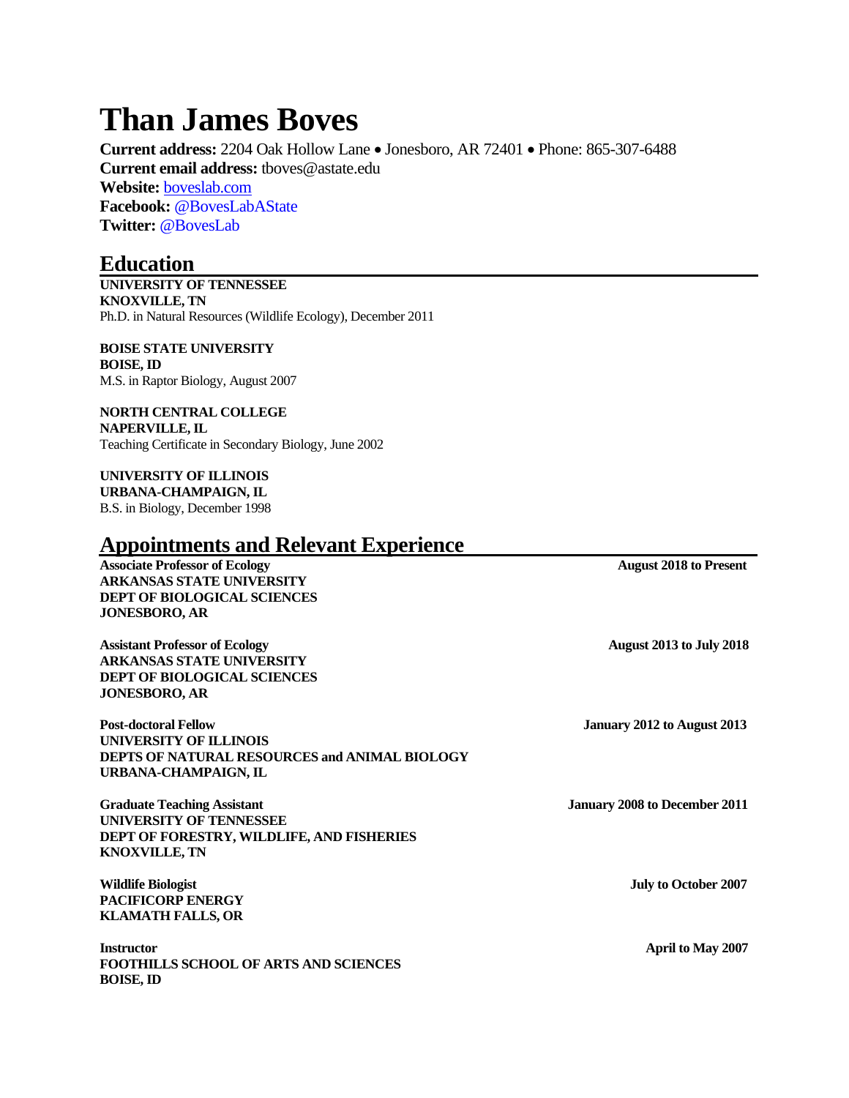# **Than James Boves**

**Current address:** 2204 Oak Hollow Lane • Jonesboro, AR 72401 • Phone: 865-307-6488 **Current email address:** tboves@astate.edu **Website:** [boveslab.com](http://www.boveslab.com/) **Facebook:** @BovesLabAState **Twitter:** @BovesLab

# **Education**

**UNIVERSITY OF TENNESSEE KNOXVILLE, TN** Ph.D. in Natural Resources (Wildlife Ecology), December 2011

**BOISE STATE UNIVERSITY BOISE, ID** M.S. in Raptor Biology, August 2007

#### **NORTH CENTRAL COLLEGE NAPERVILLE, IL**

Teaching Certificate in Secondary Biology, June 2002

### **UNIVERSITY OF ILLINOIS URBANA-CHAMPAIGN, IL** B.S. in Biology, December 1998

# **Appointments and Relevant Experience**

Associate Professor of Ecology **August 2018** to Present **ARKANSAS STATE UNIVERSITY DEPT OF BIOLOGICAL SCIENCES JONESBORO, AR**

**Assistant Professor of Ecology August 2013 to July 2018 ARKANSAS STATE UNIVERSITY DEPT OF BIOLOGICAL SCIENCES JONESBORO, AR**

**Post-doctoral Fellow January 2012 to August 2013 UNIVERSITY OF ILLINOIS DEPTS OF NATURAL RESOURCES and ANIMAL BIOLOGY URBANA-CHAMPAIGN, IL**

**Graduate Teaching Assistant January 2008 to December 2011 UNIVERSITY OF TENNESSEE DEPT OF FORESTRY, WILDLIFE, AND FISHERIES KNOXVILLE, TN**

**Wildlife Biologist July to October 2007 PACIFICORP ENERGY KLAMATH FALLS, OR**

**Instructor April to May 2007 FOOTHILLS SCHOOL OF ARTS AND SCIENCES BOISE, ID**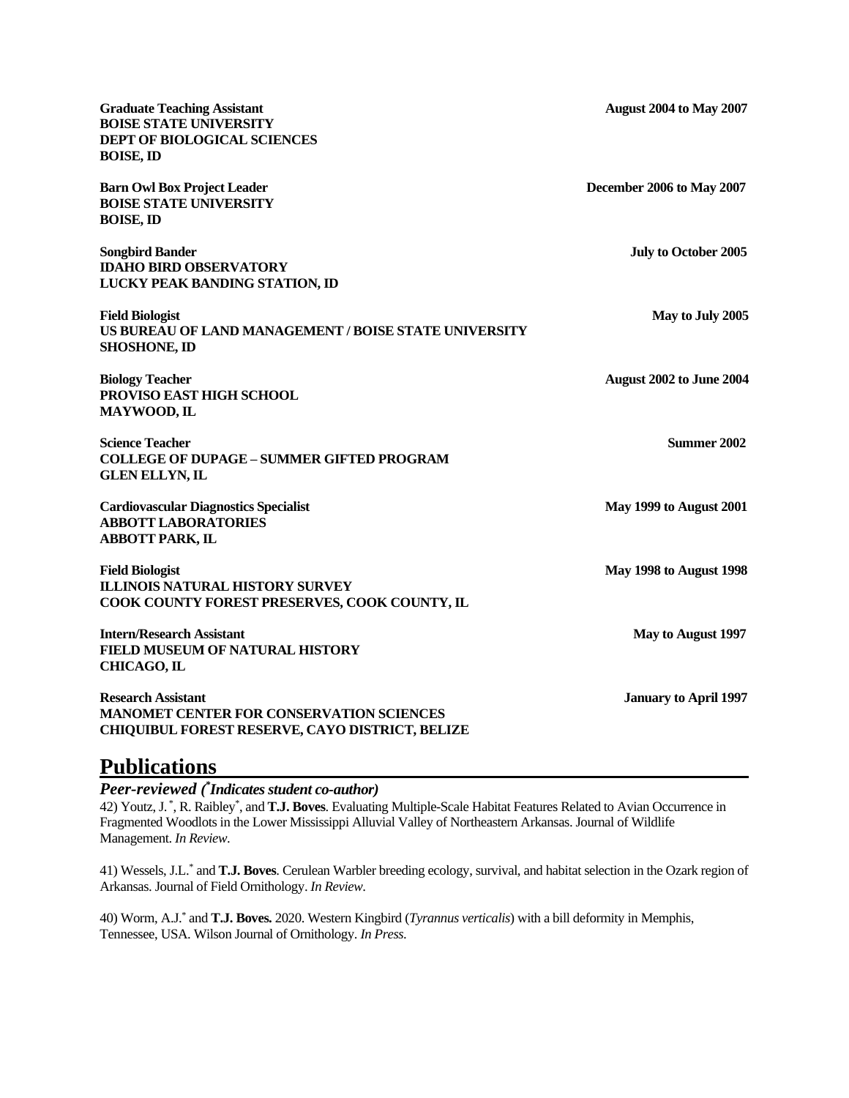| <b>Graduate Teaching Assistant</b><br><b>BOISE STATE UNIVERSITY</b><br><b>DEPT OF BIOLOGICAL SCIENCES</b><br><b>BOISE, ID</b>   | <b>August 2004 to May 2007</b> |
|---------------------------------------------------------------------------------------------------------------------------------|--------------------------------|
| <b>Barn Owl Box Project Leader</b><br><b>BOISE STATE UNIVERSITY</b><br><b>BOISE, ID</b>                                         | December 2006 to May 2007      |
| <b>Songbird Bander</b><br><b>IDAHO BIRD OBSERVATORY</b><br>LUCKY PEAK BANDING STATION, ID                                       | <b>July to October 2005</b>    |
| <b>Field Biologist</b><br>US BUREAU OF LAND MANAGEMENT / BOISE STATE UNIVERSITY<br><b>SHOSHONE, ID</b>                          | May to July 2005               |
| <b>Biology Teacher</b><br>PROVISO EAST HIGH SCHOOL<br>MAYWOOD, IL                                                               | August 2002 to June 2004       |
| <b>Science Teacher</b><br><b>COLLEGE OF DUPAGE - SUMMER GIFTED PROGRAM</b><br><b>GLEN ELLYN, IL</b>                             | <b>Summer 2002</b>             |
| <b>Cardiovascular Diagnostics Specialist</b><br><b>ABBOTT LABORATORIES</b><br><b>ABBOTT PARK, IL</b>                            | <b>May 1999 to August 2001</b> |
| <b>Field Biologist</b><br><b>ILLINOIS NATURAL HISTORY SURVEY</b><br>COOK COUNTY FOREST PRESERVES, COOK COUNTY, IL               | May 1998 to August 1998        |
| <b>Intern/Research Assistant</b><br>FIELD MUSEUM OF NATURAL HISTORY<br>CHICAGO, IL                                              | May to August 1997             |
| <b>Research Assistant</b><br><b>MANOMET CENTER FOR CONSERVATION SCIENCES</b><br>CHIQUIBUL FOREST RESERVE, CAYO DISTRICT, BELIZE | <b>January to April 1997</b>   |

# **Publications**

*Peer-reviewed ( \* Indicates student co-author)*

42) Youtz, J. \* , R. Raibley\* , and **T.J. Boves**. Evaluating Multiple-Scale Habitat Features Related to Avian Occurrence in Fragmented Woodlots in the Lower Mississippi Alluvial Valley of Northeastern Arkansas. Journal of Wildlife Management. *In Review*.

41) Wessels, J.L.\* and **T.J. Boves**. Cerulean Warbler breeding ecology, survival, and habitat selection in the Ozark region of Arkansas. Journal of Field Ornithology. *In Review*.

40) Worm, A.J.\* and **T.J. Boves.** 2020. Western Kingbird (*Tyrannus verticalis*) with a bill deformity in Memphis, Tennessee, USA. Wilson Journal of Ornithology. *In Press*.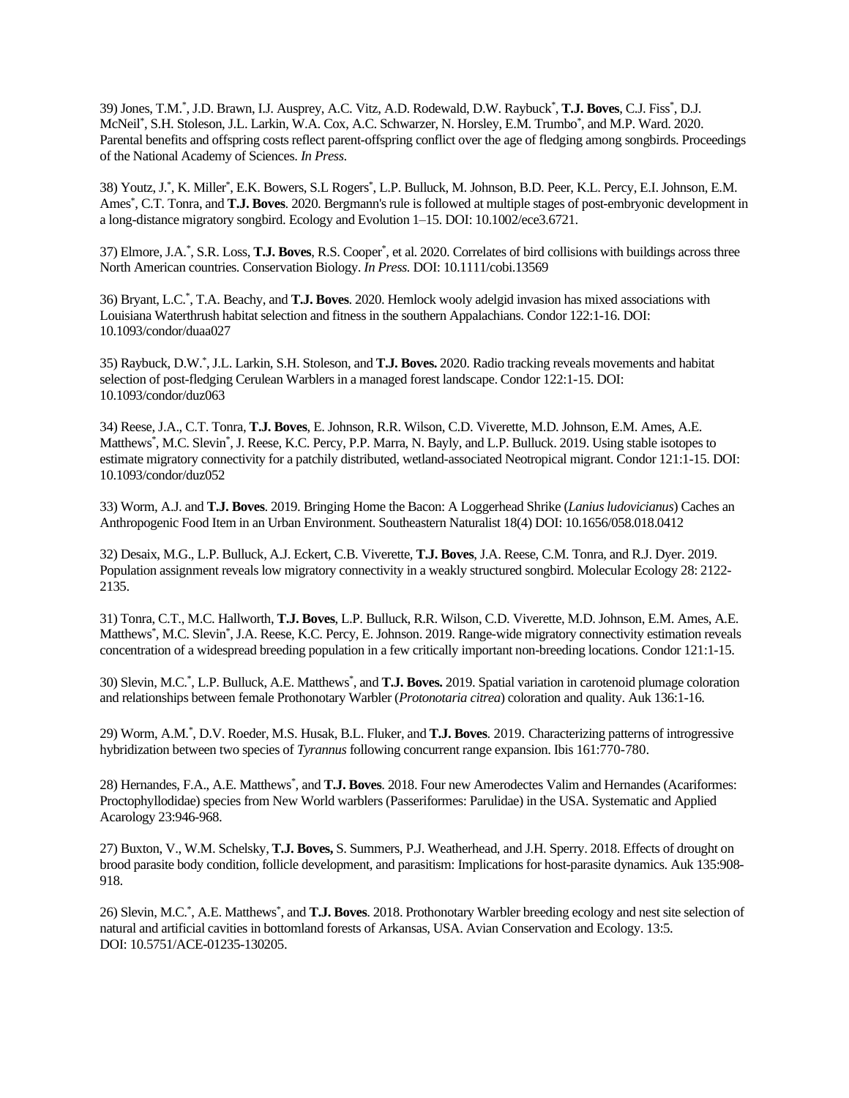39) Jones, T.M.\* , J.D. Brawn, I.J. Ausprey, A.C. Vitz, A.D. Rodewald, D.W. Raybuck\* , **T.J. Boves**, C.J. Fiss\* , D.J. McNeil\* , S.H. Stoleson, J.L. Larkin, W.A. Cox, A.C. Schwarzer, N. Horsley, E.M. Trumbo\* , and M.P. Ward. 2020. Parental benefits and offspring costs reflect parent-offspring conflict over the age of fledging among songbirds. Proceedings of the National Academy of Sciences. *In Press*.

38) Youtz, J.\* , K. Miller\* , E.K. Bowers, S.L Rogers\* , L.P. Bulluck, M. Johnson, B.D. Peer, K.L. Percy, E.I. Johnson, E.M. Ames\* , C.T. Tonra, and **T.J. Boves**. 2020. Bergmann's rule is followed at multiple stages of post-embryonic development in a long-distance migratory songbird. Ecology and Evolution 1–15. DOI: 10.1002/ece3.6721.

37) Elmore, J.A.\* , S.R. Loss, **T.J. Boves**, R.S. Cooper\* , et al. 2020. Correlates of bird collisions with buildings across three North American countries. Conservation Biology. *In Press.* DOI: 10.1111/cobi.13569

36) Bryant, L.C.\* , T.A. Beachy, and **T.J. Boves**. 2020. Hemlock wooly adelgid invasion has mixed associations with Louisiana Waterthrush habitat selection and fitness in the southern Appalachians. Condor 122:1-16. DOI: 10.1093/condor/duaa027

35) Raybuck, D.W.\* , J.L. Larkin, S.H. Stoleson, and **T.J. Boves.** 2020. Radio tracking reveals movements and habitat selection of post-fledging Cerulean Warblers in a managed forest landscape. Condor 122:1-15. DOI: 10.1093/condor/duz063

34) Reese, J.A., C.T. Tonra, **T.J. Boves**, E. Johnson, R.R. Wilson, C.D. Viverette, M.D. Johnson, E.M. Ames, A.E. Matthews<sup>\*</sup>, M.C. Slevin<sup>\*</sup>, J. Reese, K.C. Percy, P.P. Marra, N. Bayly, and L.P. Bulluck. 2019. Using stable isotopes to estimate migratory connectivity for a patchily distributed, wetland-associated Neotropical migrant. Condor 121:1-15. DOI: 10.1093/condor/duz052

33) Worm, A.J. and **T.J. Boves**. 2019. Bringing Home the Bacon: A Loggerhead Shrike (*Lanius ludovicianus*) Caches an Anthropogenic Food Item in an Urban Environment. Southeastern Naturalist 18(4) DOI: 10.1656/058.018.0412

32) Desaix, M.G., L.P. Bulluck, A.J. Eckert, C.B. Viverette, **T.J. Boves**, J.A. Reese, C.M. Tonra, and R.J. Dyer. 2019. Population assignment reveals low migratory connectivity in a weakly structured songbird. Molecular Ecology 28: 2122- 2135.

31) Tonra, C.T., M.C. Hallworth, **T.J. Boves**, L.P. Bulluck, R.R. Wilson, C.D. Viverette, M.D. Johnson, E.M. Ames, A.E. Matthews\* , M.C. Slevin\* , J.A. Reese, K.C. Percy, E. Johnson. 2019. Range-wide migratory connectivity estimation reveals concentration of a widespread breeding population in a few critically important non-breeding locations. Condor 121:1-15.

30) Slevin, M.C.\* , L.P. Bulluck, A.E. Matthews\* , and **T.J. Boves.** 2019. Spatial variation in carotenoid plumage coloration and relationships between female Prothonotary Warbler (*Protonotaria citrea*) coloration and quality. Auk 136:1-16.

29) Worm, A.M.\* , D.V. Roeder, M.S. Husak, B.L. Fluker, and **T.J. Boves**. 2019. Characterizing patterns of introgressive hybridization between two species of *Tyrannus* following concurrent range expansion. Ibis 161:770-780.

28) Hernandes, F.A., A.E. Matthews\* , and **T.J. Boves**. 2018. Four new Amerodectes Valim and Hernandes (Acariformes: Proctophyllodidae) species from New World warblers (Passeriformes: Parulidae) in the USA. Systematic and Applied Acarology 23:946-968.

27) Buxton, V., W.M. Schelsky, **T.J. Boves,** S. Summers, P.J. Weatherhead, and J.H. Sperry. 2018. Effects of drought on brood parasite body condition, follicle development, and parasitism: Implications for host-parasite dynamics. Auk 135:908- 918.

26) Slevin, M.C.\* , A.E. Matthews\* , and **T.J. Boves**. 2018. Prothonotary Warbler breeding ecology and nest site selection of natural and artificial cavities in bottomland forests of Arkansas, USA. Avian Conservation and Ecology. 13:5. DOI: [10.5751/ACE-01235-130205.](https://doi.org/10.5751/ACE-01235-130205)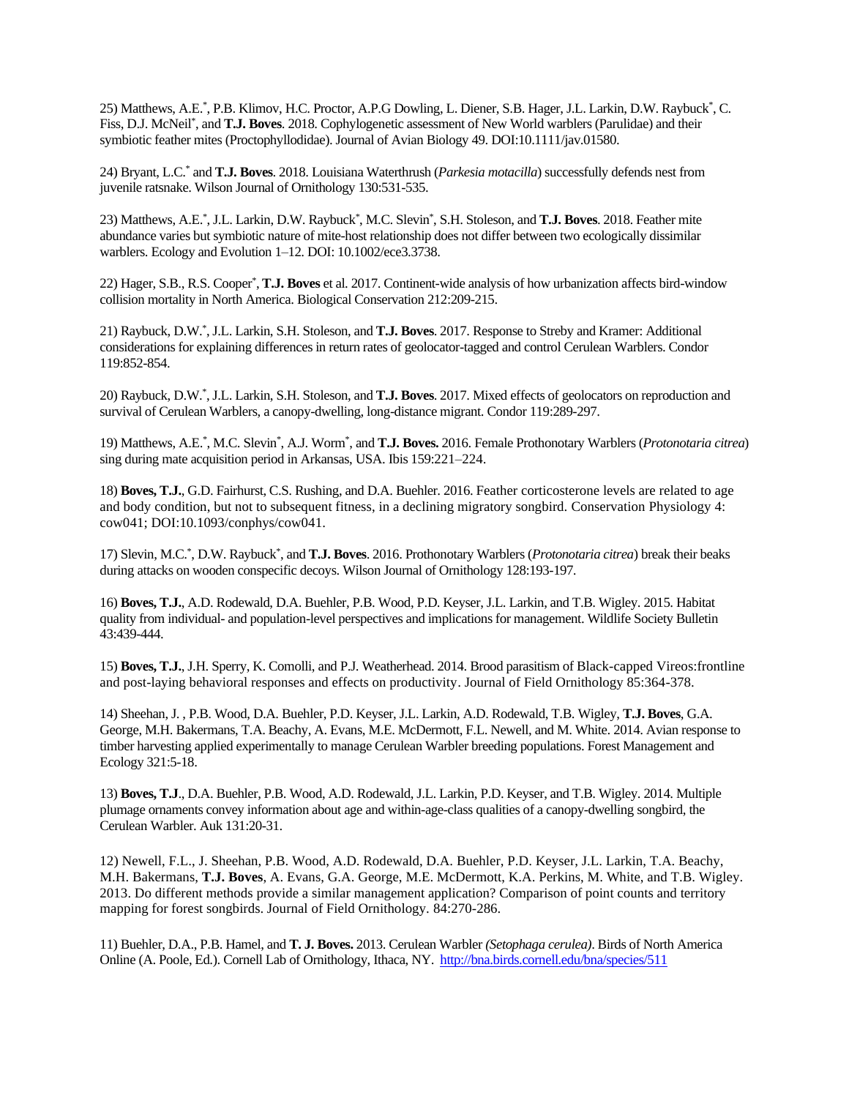25) Matthews, A.E.\* , P.B. Klimov, H.C. Proctor, A.P.G Dowling, L. Diener, S.B. Hager, J.L. Larkin, D.W. Raybuck\* , C. Fiss, D.J. McNeil\* , and **T.J. Boves**. 2018. Cophylogenetic assessment of New World warblers (Parulidae) and their symbiotic feather mites (Proctophyllodidae). Journal of Avian Biology 49. DOI:10.1111/jav.01580.

24) Bryant, L.C.\* and **T.J. Boves**. 2018. Louisiana Waterthrush (*Parkesia motacilla*) successfully defends nest from juvenile ratsnake. Wilson Journal of Ornithology 130:531-535.

23) Matthews, A.E.\* , J.L. Larkin, D.W. Raybuck\* , M.C. Slevin\* , S.H. Stoleson, and **T.J. Boves**. 2018. Feather mite abundance varies but symbiotic nature of mite-host relationship does not differ between two ecologically dissimilar warblers. Ecology and Evolution 1–12. DOI: 10.1002/ece3.3738.

22) Hager, S.B., R.S. Cooper\* , **T.J. Boves** et al. 2017. Continent-wide analysis of how urbanization affects bird-window collision mortality in North America. Biological Conservation 212:209-215.

21) Raybuck, D.W.\* , J.L. Larkin, S.H. Stoleson, and **T.J. Boves**. 2017. Response to Streby and Kramer: Additional considerations for explaining differences in return rates of geolocator-tagged and control Cerulean Warblers. Condor 119:852-854.

20) Raybuck, D.W.\* , J.L. Larkin, S.H. Stoleson, and **T.J. Boves**. 2017. Mixed effects of geolocators on reproduction and survival of Cerulean Warblers, a canopy-dwelling, long-distance migrant. Condor 119:289-297.

19) Matthews, A.E. \* , M.C. Slevin\* , A.J. Worm\* , and **T.J. Boves.** 2016. Female Prothonotary Warblers (*Protonotaria citrea*) sing during mate acquisition period in Arkansas, USA. Ibis 159:221–224.

18) **Boves, T.J.**, G.D. Fairhurst, C.S. Rushing, and D.A. Buehler. 2016. Feather corticosterone levels are related to age and body condition, but not to subsequent fitness, in a declining migratory songbird. Conservation Physiology 4: cow041; DOI:10.1093/conphys/cow041.

17) Slevin, M.C.\* , D.W. Raybuck\* , and **T.J. Boves**. 2016. Prothonotary Warblers (*Protonotaria citrea*) break their beaks during attacks on wooden conspecific decoys. Wilson Journal of Ornithology 128:193-197*.*

16) **Boves, T.J.**, A.D. Rodewald, D.A. Buehler, P.B. Wood, P.D. Keyser, J.L. Larkin, and T.B. Wigley. 2015. Habitat quality from individual- and population-level perspectives and implications for management. Wildlife Society Bulletin 43:439-444.

15) **Boves, T.J.**, J.H. Sperry, K. Comolli, and P.J. Weatherhead. 2014. Brood parasitism of Black-capped Vireos:frontline and post-laying behavioral responses and effects on productivity. Journal of Field Ornithology 85:364-378.

14) Sheehan, J. , P.B. Wood, D.A. Buehler, P.D. Keyser, J.L. Larkin, A.D. Rodewald, T.B. Wigley, **T.J. Boves**, G.A. George, M.H. Bakermans, T.A. Beachy, A. Evans, M.E. McDermott, F.L. Newell, and M. White. 2014. Avian response to timber harvesting applied experimentally to manage Cerulean Warbler breeding populations. Forest Management and Ecology 321:5-18.

13) **Boves, T.J**., D.A. Buehler, P.B. Wood, A.D. Rodewald, J.L. Larkin, P.D. Keyser, and T.B. Wigley. 2014. Multiple plumage ornaments convey information about age and within-age-class qualities of a canopy-dwelling songbird, the Cerulean Warbler. Auk 131:20-31.

12) Newell, F.L., J. Sheehan, P.B. Wood, A.D. Rodewald, D.A. Buehler, P.D. Keyser, J.L. Larkin, T.A. Beachy, M.H. Bakermans, **T.J. Boves**, A. Evans, G.A. George, M.E. McDermott, K.A. Perkins, M. White, and T.B. Wigley. 2013. Do different methods provide a similar management application? Comparison of point counts and territory mapping for forest songbirds. Journal of Field Ornithology. 84:270-286.

11) Buehler, D.A., P.B. Hamel, and **T. J. Boves.** 2013. Cerulean Warbler *(Setophaga cerulea)*. Birds of North America Online (A. Poole, Ed.). Cornell Lab of Ornithology, Ithaca, NY.<http://bna.birds.cornell.edu/bna/species/511>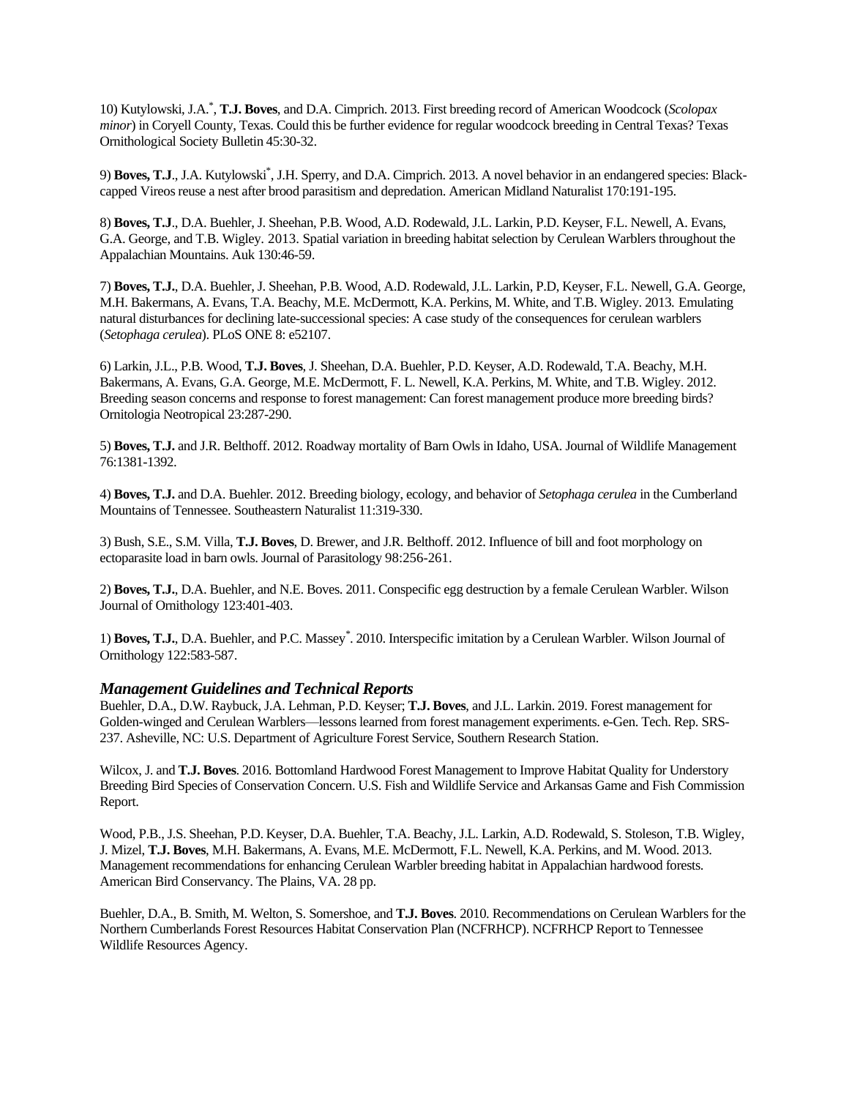10) Kutylowski, J.A.\* , **T.J. Boves**, and D.A. Cimprich. 2013. First breeding record of American Woodcock (*Scolopax minor*) in Coryell County, Texas. Could this be further evidence for regular woodcock breeding in Central Texas? Texas Ornithological Society Bulletin 45:30-32.

9) Boves, T.J., J.A. Kutylowski<sup>\*</sup>, J.H. Sperry, and D.A. Cimprich. 2013. A novel behavior in an endangered species: Blackcapped Vireos reuse a nest after brood parasitism and depredation. American Midland Naturalist 170:191-195.

8) **Boves, T.J**., D.A. Buehler, J. Sheehan, P.B. Wood, A.D. Rodewald, J.L. Larkin, P.D. Keyser, F.L. Newell, A. Evans, G.A. George, and T.B. Wigley. 2013. Spatial variation in breeding habitat selection by Cerulean Warblers throughout the Appalachian Mountains. Auk 130:46-59.

7) **Boves, T.J.**, D.A. Buehler, J. Sheehan, P.B. Wood, A.D. Rodewald, J.L. Larkin, P.D, Keyser, F.L. Newell, G.A. George, M.H. Bakermans, A. Evans, T.A. Beachy, M.E. McDermott, K.A. Perkins, M. White, and T.B. Wigley. 2013. Emulating natural disturbances for declining late-successional species: A case study of the consequences for cerulean warblers (*Setophaga cerulea*). PLoS ONE 8: e52107.

6) Larkin, J.L., P.B. Wood, **T.J. Boves**, J. Sheehan, D.A. Buehler, P.D. Keyser, A.D. Rodewald, T.A. Beachy, M.H. Bakermans, A. Evans, G.A. George, M.E. McDermott, F. L. Newell, K.A. Perkins, M. White, and T.B. Wigley. 2012. Breeding season concerns and response to forest management: Can forest management produce more breeding birds? Ornitologia Neotropical 23:287-290.

5) **Boves, T.J.** and J.R. Belthoff. 2012. Roadway mortality of Barn Owls in Idaho, USA. Journal of Wildlife Management 76:1381-1392.

4) **Boves, T.J.** and D.A. Buehler. 2012. Breeding biology, ecology, and behavior of *Setophaga cerulea* in the Cumberland Mountains of Tennessee. Southeastern Naturalist 11:319-330.

3) Bush, S.E., S.M. Villa, **T.J. Boves**, D. Brewer, and J.R. Belthoff. 2012. Influence of bill and foot morphology on ectoparasite load in barn owls. Journal of Parasitology 98:256-261.

2) **Boves, T.J.**, D.A. Buehler, and N.E. Boves. 2011. Conspecific egg destruction by a female Cerulean Warbler. Wilson Journal of Ornithology 123:401-403.

1) **Boves, T.J.**, D.A. Buehler, and P.C. Massey*\** . 2010. Interspecific imitation by a Cerulean Warbler. Wilson Journal of Ornithology 122:583-587.

### *Management Guidelines and Technical Reports*

Buehler, D.A., D.W. Raybuck, J.A. Lehman, P.D. Keyser; **T.J. Boves**, and J.L. Larkin. 2019. Forest management for Golden-winged and Cerulean Warblers—lessons learned from forest management experiments. e-Gen. Tech. Rep. SRS-237. Asheville, NC: U.S. Department of Agriculture Forest Service, Southern Research Station.

Wilcox, J. and **T.J. Boves**. 2016. Bottomland Hardwood Forest Management to Improve Habitat Quality for Understory Breeding Bird Species of Conservation Concern. U.S. Fish and Wildlife Service and Arkansas Game and Fish Commission Report.

Wood, P.B., J.S. Sheehan, P.D. Keyser, D.A. Buehler, T.A. Beachy, J.L. Larkin, A.D. Rodewald, S. Stoleson, T.B. Wigley, J. Mizel, **T.J. Boves**, M.H. Bakermans, A. Evans, M.E. McDermott, F.L. Newell, K.A. Perkins, and M. Wood. 2013. Management recommendations for enhancing Cerulean Warbler breeding habitat in Appalachian hardwood forests. American Bird Conservancy. The Plains, VA. 28 pp.

Buehler, D.A., B. Smith, M. Welton, S. Somershoe, and **T.J. Boves**. 2010. Recommendations on Cerulean Warblers for the Northern Cumberlands Forest Resources Habitat Conservation Plan (NCFRHCP). NCFRHCP Report to Tennessee Wildlife Resources Agency.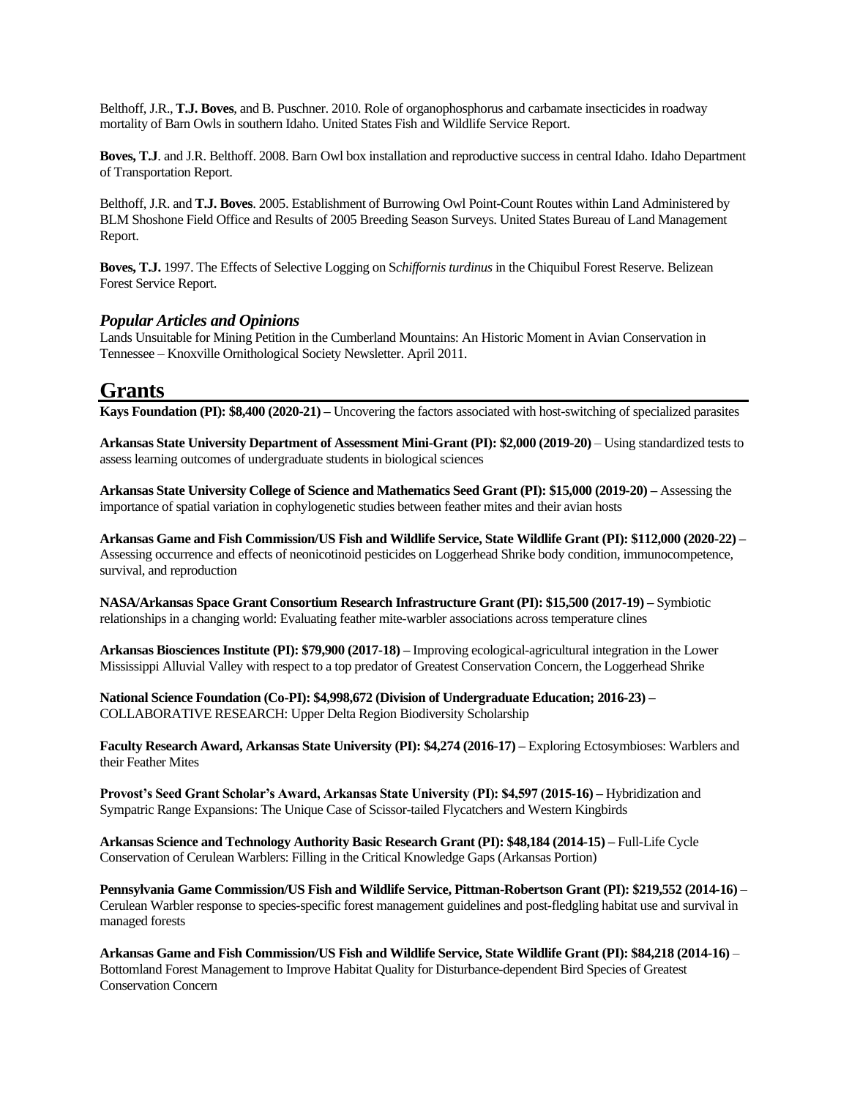Belthoff, J.R., **T.J. Boves**, and B. Puschner. 2010. Role of organophosphorus and carbamate insecticides in roadway mortality of Barn Owls in southern Idaho. United States Fish and Wildlife Service Report.

**Boves, T.J**. and J.R. Belthoff. 2008. Barn Owl box installation and reproductive success in central Idaho. Idaho Department of Transportation Report.

Belthoff, J.R. and **T.J. Boves**. 2005. Establishment of Burrowing Owl Point-Count Routes within Land Administered by BLM Shoshone Field Office and Results of 2005 Breeding Season Surveys. United States Bureau of Land Management Report.

**Boves, T.J.** 1997. The Effects of Selective Logging on S*chiffornis turdinus* in the Chiquibul Forest Reserve. Belizean Forest Service Report.

### *Popular Articles and Opinions*

Lands Unsuitable for Mining Petition in the Cumberland Mountains: An Historic Moment in Avian Conservation in Tennessee – Knoxville Ornithological Society Newsletter. April 2011.

### **Grants**

**Kays Foundation (PI): \$8,400 (2020-21) –** Uncovering the factors associated with host-switching of specialized parasites

**Arkansas State University Department of Assessment Mini-Grant (PI): \$2,000 (2019-20)** – Using standardized tests to assess learning outcomes of undergraduate students in biological sciences

**Arkansas State University College of Science and Mathematics Seed Grant (PI): \$15,000 (2019-20) –** Assessing the importance of spatial variation in cophylogenetic studies between feather mites and their avian hosts

**Arkansas Game and Fish Commission/US Fish and Wildlife Service, State Wildlife Grant (PI): \$112,000 (2020-22) –** Assessing occurrence and effects of neonicotinoid pesticides on Loggerhead Shrike body condition, immunocompetence, survival, and reproduction

**NASA/Arkansas Space Grant Consortium Research Infrastructure Grant (PI): \$15,500 (2017-19) –** Symbiotic relationships in a changing world: Evaluating feather mite-warbler associations across temperature clines

**Arkansas Biosciences Institute (PI): \$79,900 (2017-18) –** Improving ecological-agricultural integration in the Lower Mississippi Alluvial Valley with respect to a top predator of Greatest Conservation Concern, the Loggerhead Shrike

**National Science Foundation (Co-PI): \$4,998,672 (Division of Undergraduate Education; 2016-23) –** COLLABORATIVE RESEARCH: Upper Delta Region Biodiversity Scholarship

**Faculty Research Award, Arkansas State University (PI): \$4,274 (2016-17) –** Exploring Ectosymbioses: Warblers and their Feather Mites

**Provost's Seed Grant Scholar's Award, Arkansas State University (PI): \$4,597 (2015-16) –** Hybridization and Sympatric Range Expansions: The Unique Case of Scissor-tailed Flycatchers and Western Kingbirds

**Arkansas Science and Technology Authority Basic Research Grant (PI): \$48,184 (2014-15) –** Full-Life Cycle Conservation of Cerulean Warblers: Filling in the Critical Knowledge Gaps (Arkansas Portion)

**Pennsylvania Game Commission/US Fish and Wildlife Service, Pittman-Robertson Grant (PI): \$219,552 (2014-16)** – Cerulean Warbler response to species-specific forest management guidelines and post-fledgling habitat use and survival in managed forests

**Arkansas Game and Fish Commission/US Fish and Wildlife Service, State Wildlife Grant (PI): \$84,218 (2014-16)** – Bottomland Forest Management to Improve Habitat Quality for Disturbance-dependent Bird Species of Greatest Conservation Concern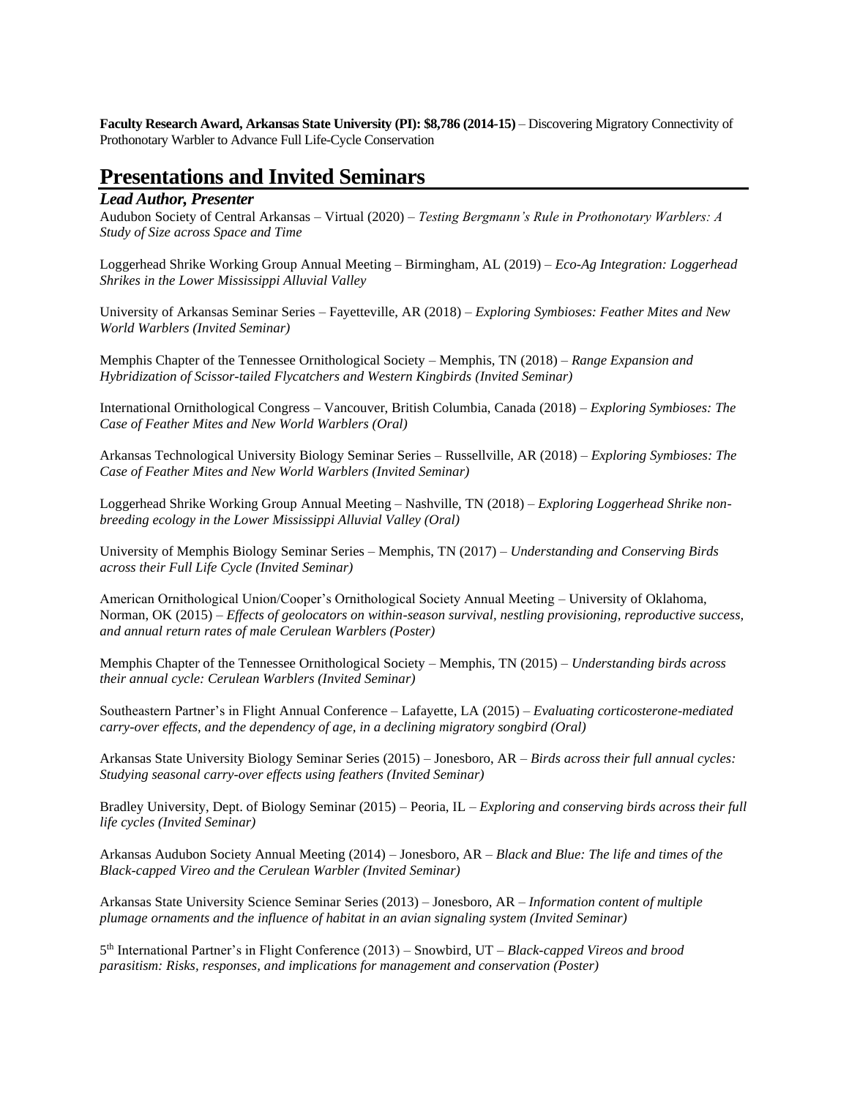**Faculty Research Award, Arkansas State University (PI): \$8,786 (2014-15)** – Discovering Migratory Connectivity of Prothonotary Warbler to Advance Full Life-Cycle Conservation

## **Presentations and Invited Seminars**

### *Lead Author, Presenter*

Audubon Society of Central Arkansas – Virtual (2020) – *Testing Bergmann's Rule in Prothonotary Warblers: A Study of Size across Space and Time*

Loggerhead Shrike Working Group Annual Meeting – Birmingham, AL (2019) – *Eco-Ag Integration: Loggerhead Shrikes in the Lower Mississippi Alluvial Valley*

University of Arkansas Seminar Series – Fayetteville, AR (2018) – *Exploring Symbioses: Feather Mites and New World Warblers (Invited Seminar)*

Memphis Chapter of the Tennessee Ornithological Society – Memphis, TN (2018) – *Range Expansion and Hybridization of Scissor-tailed Flycatchers and Western Kingbirds (Invited Seminar)*

International Ornithological Congress – Vancouver, British Columbia, Canada (2018) – *Exploring Symbioses: The Case of Feather Mites and New World Warblers (Oral)*

Arkansas Technological University Biology Seminar Series – Russellville, AR (2018) – *Exploring Symbioses: The Case of Feather Mites and New World Warblers (Invited Seminar)*

Loggerhead Shrike Working Group Annual Meeting – Nashville, TN (2018) – *Exploring Loggerhead Shrike nonbreeding ecology in the Lower Mississippi Alluvial Valley (Oral)*

University of Memphis Biology Seminar Series – Memphis, TN (2017) – *Understanding and Conserving Birds across their Full Life Cycle (Invited Seminar)*

American Ornithological Union/Cooper's Ornithological Society Annual Meeting – University of Oklahoma, Norman, OK (2015) – *Effects of geolocators on within-season survival, nestling provisioning, reproductive success, and annual return rates of male Cerulean Warblers (Poster)*

Memphis Chapter of the Tennessee Ornithological Society – Memphis, TN (2015) – *Understanding birds across their annual cycle: Cerulean Warblers (Invited Seminar)*

Southeastern Partner's in Flight Annual Conference – Lafayette, LA (2015) – *Evaluating corticosterone-mediated carry-over effects, and the dependency of age, in a declining migratory songbird (Oral)*

Arkansas State University Biology Seminar Series (2015) – Jonesboro, AR – *Birds across their full annual cycles: Studying seasonal carry-over effects using feathers (Invited Seminar)*

Bradley University, Dept. of Biology Seminar (2015) – Peoria, IL – *Exploring and conserving birds across their full life cycles (Invited Seminar)*

Arkansas Audubon Society Annual Meeting (2014) – Jonesboro, AR – *Black and Blue: The life and times of the Black-capped Vireo and the Cerulean Warbler (Invited Seminar)*

Arkansas State University Science Seminar Series (2013) – Jonesboro, AR – *Information content of multiple plumage ornaments and the influence of habitat in an avian signaling system (Invited Seminar)*

5 th International Partner's in Flight Conference (2013) – Snowbird, UT – *Black-capped Vireos and brood parasitism: Risks, responses, and implications for management and conservation (Poster)*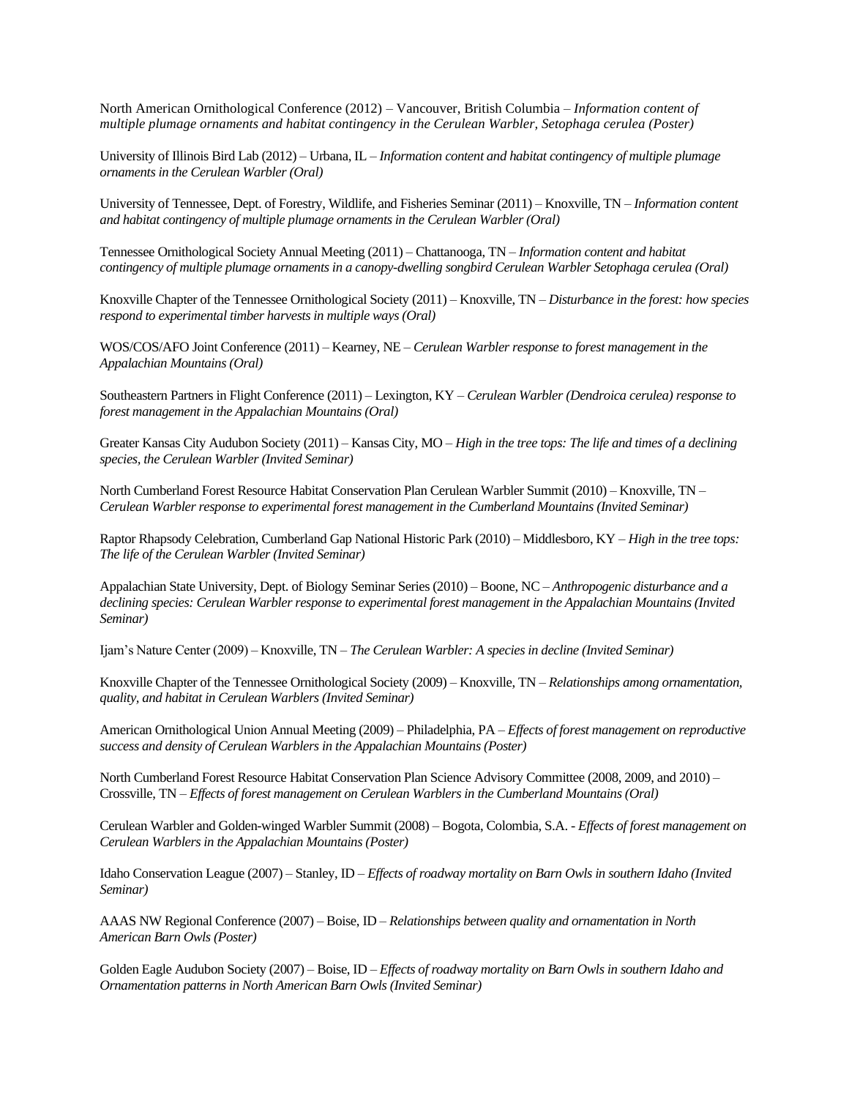North American Ornithological Conference (2012) – Vancouver, British Columbia – *Information content of multiple plumage ornaments and habitat contingency in the Cerulean Warbler, Setophaga cerulea (Poster)*

University of Illinois Bird Lab (2012) – Urbana, IL – *Information content and habitat contingency of multiple plumage ornaments in the Cerulean Warbler (Oral)*

University of Tennessee, Dept. of Forestry, Wildlife, and Fisheries Seminar (2011) – Knoxville, TN – *Information content and habitat contingency of multiple plumage ornaments in the Cerulean Warbler (Oral)*

Tennessee Ornithological Society Annual Meeting (2011) – Chattanooga, TN – *Information content and habitat contingency of multiple plumage ornaments in a canopy-dwelling songbird Cerulean Warbler Setophaga cerulea (Oral)*

Knoxville Chapter of the Tennessee Ornithological Society (2011) – Knoxville, TN – *Disturbance in the forest: how species respond to experimental timber harvests in multiple ways (Oral)*

WOS/COS/AFO Joint Conference (2011) – Kearney, NE – *Cerulean Warbler response to forest management in the Appalachian Mountains (Oral)* 

Southeastern Partners in Flight Conference (2011) – Lexington, KY – *Cerulean Warbler (Dendroica cerulea) response to forest management in the Appalachian Mountains (Oral)*

Greater Kansas City Audubon Society (2011) – Kansas City, MO – *High in the tree tops: The life and times of a declining species, the Cerulean Warbler (Invited Seminar)*

North Cumberland Forest Resource Habitat Conservation Plan Cerulean Warbler Summit (2010) – Knoxville, TN – *Cerulean Warbler response to experimental forest management in the Cumberland Mountains (Invited Seminar)*

Raptor Rhapsody Celebration, Cumberland Gap National Historic Park (2010) – Middlesboro, KY – *High in the tree tops: The life of the Cerulean Warbler (Invited Seminar)*

Appalachian State University, Dept. of Biology Seminar Series (2010) – Boone, NC – *Anthropogenic disturbance and a declining species: Cerulean Warbler response to experimental forest management in the Appalachian Mountains (Invited Seminar)*

Ijam's Nature Center (2009) – Knoxville, TN – *The Cerulean Warbler: A species in decline (Invited Seminar)*

Knoxville Chapter of the Tennessee Ornithological Society (2009) – Knoxville, TN – *Relationships among ornamentation, quality, and habitat in Cerulean Warblers (Invited Seminar)*

American Ornithological Union Annual Meeting (2009) – Philadelphia, PA – *Effects of forest management on reproductive success and density of Cerulean Warblers in the Appalachian Mountains (Poster)*

North Cumberland Forest Resource Habitat Conservation Plan Science Advisory Committee (2008, 2009, and 2010) – Crossville, TN – *Effects of forest management on Cerulean Warblers in the Cumberland Mountains (Oral)*

Cerulean Warbler and Golden-winged Warbler Summit (2008) – Bogota, Colombia, S.A. *- Effects of forest management on Cerulean Warblers in the Appalachian Mountains (Poster)*

Idaho Conservation League (2007) – Stanley, ID – *Effects of roadway mortality on Barn Owls in southern Idaho (Invited Seminar)*

AAAS NW Regional Conference (2007) – Boise, ID – *Relationships between quality and ornamentation in North American Barn Owls (Poster)*

Golden Eagle Audubon Society (2007) – Boise, ID – *Effects of roadway mortality on Barn Owls in southern Idaho and Ornamentation patterns in North American Barn Owls (Invited Seminar)*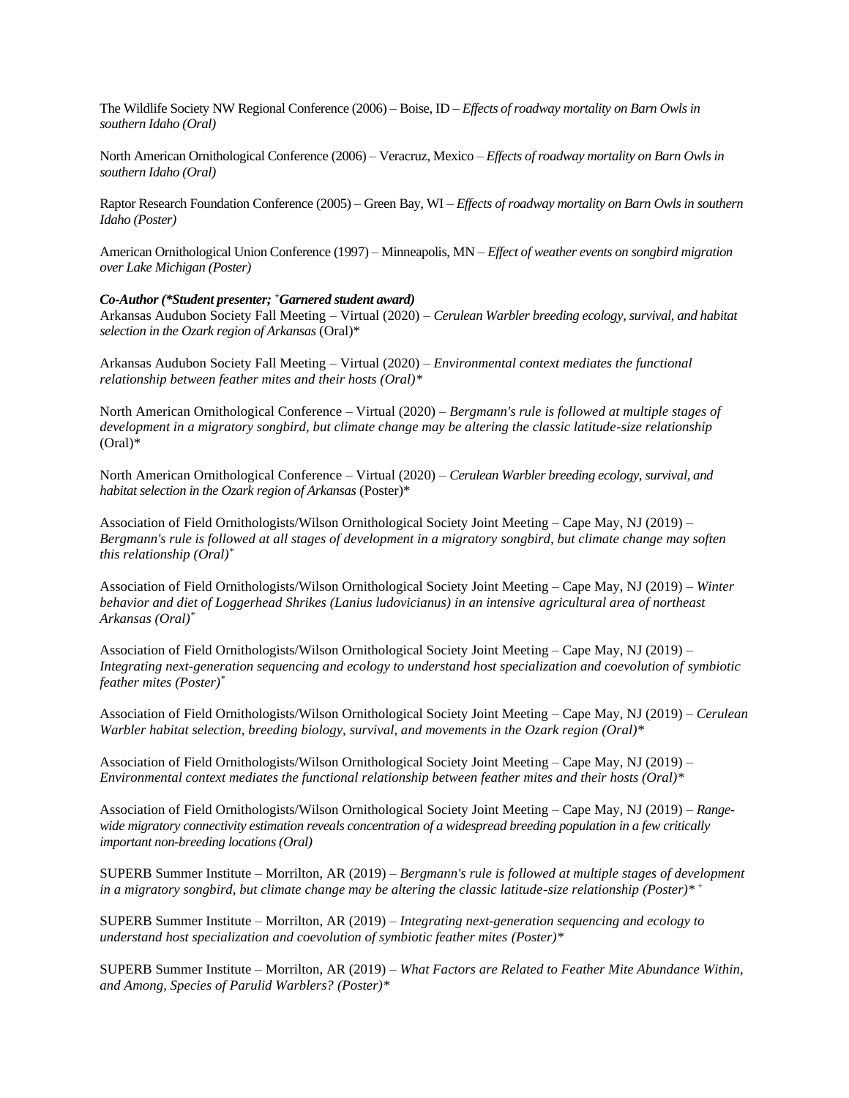The Wildlife Society NW Regional Conference (2006) – Boise, ID – *Effects of roadway mortality on Barn Owls in southern Idaho (Oral)*

North American Ornithological Conference (2006) – Veracruz, Mexico – *Effects of roadway mortality on Barn Owls in southern Idaho (Oral)*

Raptor Research Foundation Conference (2005) – Green Bay, WI *– Effects of roadway mortality on Barn Owls in southern Idaho (Poster)*

American Ornithological Union Conference (1997) – Minneapolis, MN – *Effect of weather events on songbird migration over Lake Michigan (Poster)*

*Co-Author (\*Student presenter; <sup>+</sup>Garnered student award)*

Arkansas Audubon Society Fall Meeting – Virtual (2020) – *Cerulean Warbler breeding ecology, survival, and habitat selection in the Ozark region of Arkansas* (Oral)\*

Arkansas Audubon Society Fall Meeting – Virtual (2020) – *Environmental context mediates the functional relationship between feather mites and their hosts (Oral)\**

North American Ornithological Conference – Virtual (2020) – *Bergmann's rule is followed at multiple stages of development in a migratory songbird, but climate change may be altering the classic latitude-size relationship* (Oral)\*

North American Ornithological Conference – Virtual (2020) – *Cerulean Warbler breeding ecology, survival, and habitat selection in the Ozark region of Arkansas* (Poster)\*

Association of Field Ornithologists/Wilson Ornithological Society Joint Meeting – Cape May, NJ (2019) – *Bergmann's rule is followed at all stages of development in a migratory songbird, but climate change may soften this relationship (Oral)\**

Association of Field Ornithologists/Wilson Ornithological Society Joint Meeting – Cape May, NJ (2019) – *Winter behavior and diet of Loggerhead Shrikes (Lanius ludovicianus) in an intensive agricultural area of northeast Arkansas (Oral)\**

Association of Field Ornithologists/Wilson Ornithological Society Joint Meeting – Cape May, NJ (2019) – *Integrating next-generation sequencing and ecology to understand host specialization and coevolution of symbiotic feather mites (Poster)\**

Association of Field Ornithologists/Wilson Ornithological Society Joint Meeting – Cape May, NJ (2019) – *Cerulean Warbler habitat selection, breeding biology, survival, and movements in the Ozark region (Oral)\**

Association of Field Ornithologists/Wilson Ornithological Society Joint Meeting – Cape May, NJ (2019) – *Environmental context mediates the functional relationship between feather mites and their hosts (Oral)\**

Association of Field Ornithologists/Wilson Ornithological Society Joint Meeting – Cape May, NJ (2019) – *Rangewide migratory connectivity estimation reveals concentration of a widespread breeding population in a few critically important non-breeding locations (Oral)*

SUPERB Summer Institute *–* Morrilton, AR (2019) – *Bergmann's rule is followed at multiple stages of development in a migratory songbird, but climate change may be altering the classic latitude-size relationship (Poster)\* +*

SUPERB Summer Institute *–* Morrilton, AR (2019) – *Integrating next-generation sequencing and ecology to understand host specialization and coevolution of symbiotic feather mites (Poster)\**

SUPERB Summer Institute *–* Morrilton, AR (2019) – *What Factors are Related to Feather Mite Abundance Within, and Among, Species of Parulid Warblers? (Poster)\**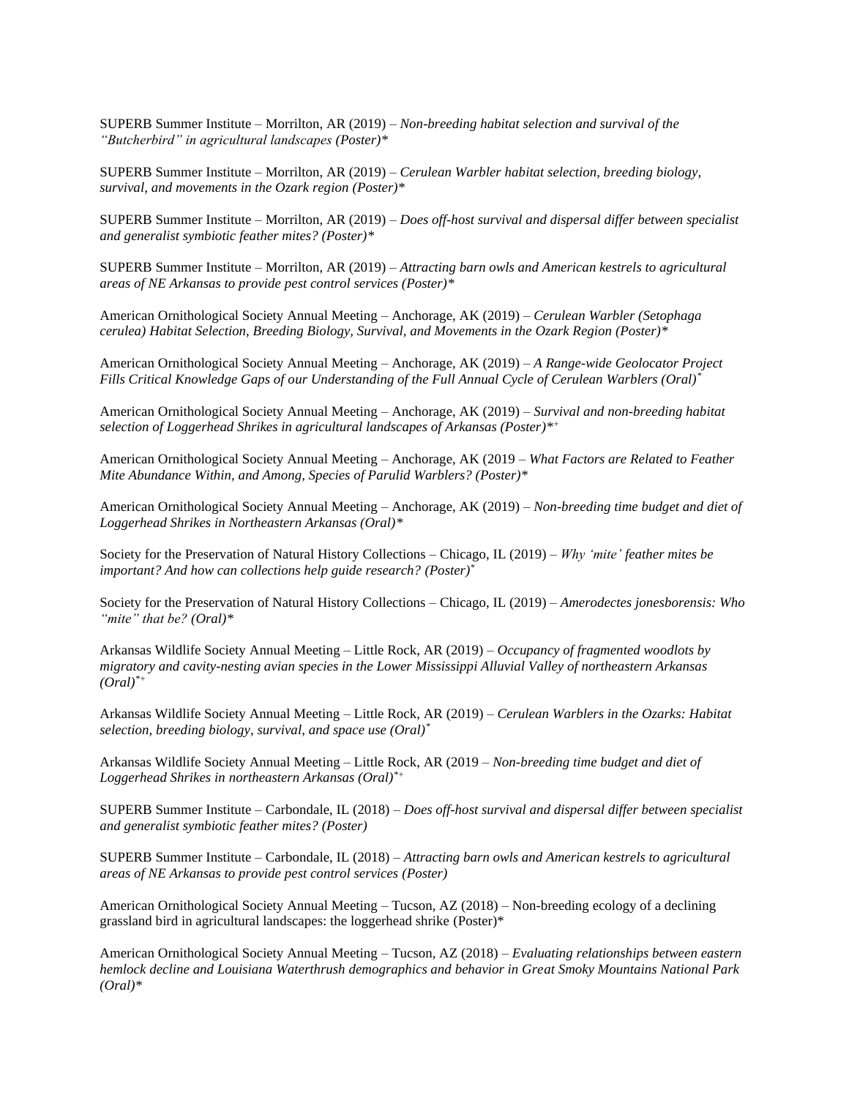SUPERB Summer Institute *–* Morrilton, AR (2019) – *Non-breeding habitat selection and survival of the "Butcherbird" in agricultural landscapes (Poster)\**

SUPERB Summer Institute *–* Morrilton, AR (2019) – *Cerulean Warbler habitat selection, breeding biology, survival, and movements in the Ozark region (Poster)\**

SUPERB Summer Institute *–* Morrilton, AR (2019) – *Does off-host survival and dispersal differ between specialist and generalist symbiotic feather mites? (Poster)\**

SUPERB Summer Institute *–* Morrilton, AR (2019) – *Attracting barn owls and American kestrels to agricultural areas of NE Arkansas to provide pest control services (Poster)\**

American Ornithological Society Annual Meeting – Anchorage, AK (2019) – *Cerulean Warbler (Setophaga cerulea) Habitat Selection, Breeding Biology, Survival, and Movements in the Ozark Region (Poster)*\*

American Ornithological Society Annual Meeting – Anchorage, AK (2019) – *A Range-wide Geolocator Project Fills Critical Knowledge Gaps of our Understanding of the Full Annual Cycle of Cerulean Warblers (Oral)\**

American Ornithological Society Annual Meeting – Anchorage, AK (2019) – *Survival and non-breeding habitat selection of Loggerhead Shrikes in agricultural landscapes of Arkansas (Poster)\*<sup>+</sup>*

American Ornithological Society Annual Meeting – Anchorage, AK (2019 – *What Factors are Related to Feather Mite Abundance Within, and Among, Species of Parulid Warblers? (Poster)\**

American Ornithological Society Annual Meeting – Anchorage, AK (2019) – *Non-breeding time budget and diet of Loggerhead Shrikes in Northeastern Arkansas (Oral)\**

Society for the Preservation of Natural History Collections – Chicago, IL (2019) – *Why 'mite' feather mites be important? And how can collections help guide research? (Poster)\**

Society for the Preservation of Natural History Collections – Chicago, IL (2019) – *Amerodectes jonesborensis: Who "mite" that be? (Oral)\**

Arkansas Wildlife Society Annual Meeting – Little Rock, AR (2019) – *Occupancy of fragmented woodlots by migratory and cavity-nesting avian species in the Lower Mississippi Alluvial Valley of northeastern Arkansas (Oral)\*+*

Arkansas Wildlife Society Annual Meeting – Little Rock, AR (2019) – *Cerulean Warblers in the Ozarks: Habitat selection, breeding biology, survival, and space use (Oral)\**

Arkansas Wildlife Society Annual Meeting – Little Rock, AR (2019 – *Non-breeding time budget and diet of Loggerhead Shrikes in northeastern Arkansas (Oral)\*+*

SUPERB Summer Institute *–* Carbondale, IL (2018) – *Does off-host survival and dispersal differ between specialist and generalist symbiotic feather mites? (Poster)*

SUPERB Summer Institute *–* Carbondale, IL (2018) – *Attracting barn owls and American kestrels to agricultural areas of NE Arkansas to provide pest control services (Poster)*

American Ornithological Society Annual Meeting – Tucson, AZ (2018) – Non-breeding ecology of a declining grassland bird in agricultural landscapes: the loggerhead shrike (Poster)\*

American Ornithological Society Annual Meeting – Tucson, AZ (2018) – *Evaluating relationships between eastern hemlock decline and Louisiana Waterthrush demographics and behavior in Great Smoky Mountains National Park (Oral)\**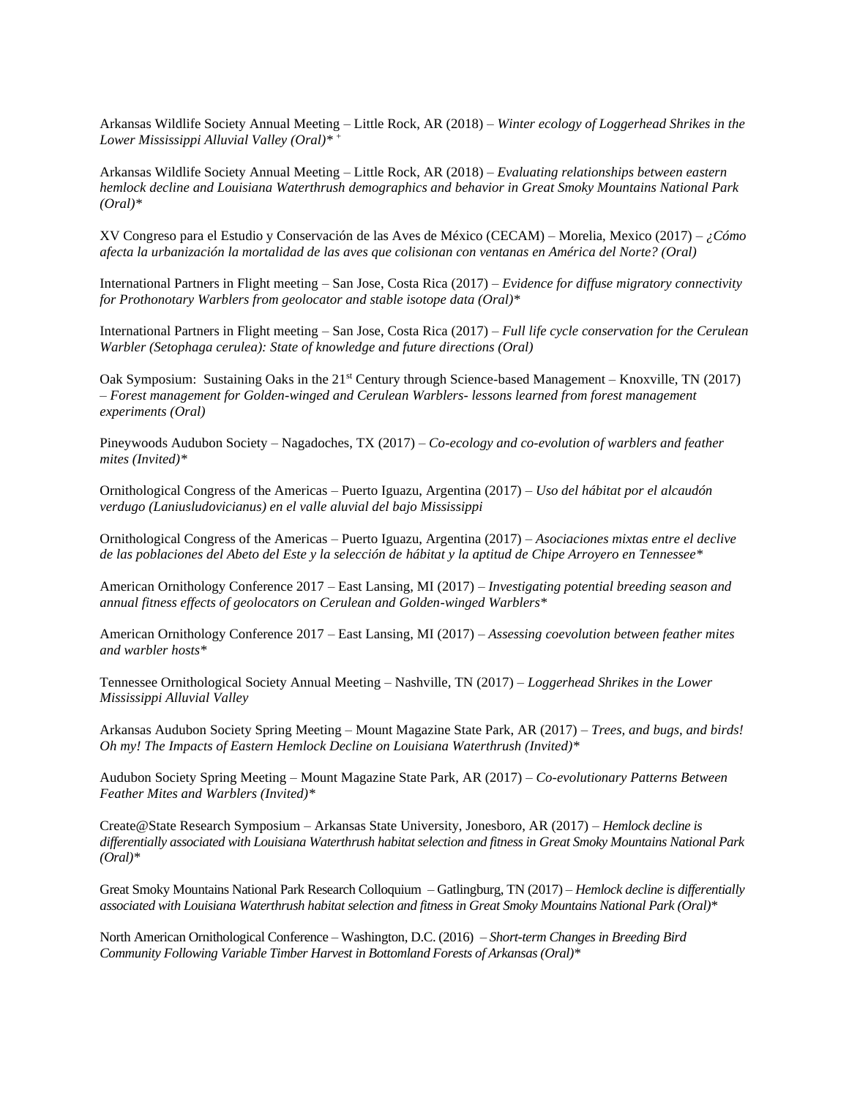Arkansas Wildlife Society Annual Meeting – Little Rock, AR (2018) – *Winter ecology of Loggerhead Shrikes in the Lower Mississippi Alluvial Valley (Oral)\* <sup>+</sup>*

Arkansas Wildlife Society Annual Meeting – Little Rock, AR (2018) – *Evaluating relationships between eastern hemlock decline and Louisiana Waterthrush demographics and behavior in Great Smoky Mountains National Park (Oral)\**

XV Congreso para el Estudio y Conservación de las Aves de México (CECAM) – Morelia, Mexico (2017) – *¿Cómo afecta la urbanización la mortalidad de las aves que colisionan con ventanas en América del Norte? (Oral)*

International Partners in Flight meeting – San Jose, Costa Rica (2017) – *Evidence for diffuse migratory connectivity for Prothonotary Warblers from geolocator and stable isotope data (Oral)*\*

International Partners in Flight meeting – San Jose, Costa Rica (2017) – *Full life cycle conservation for the Cerulean Warbler (Setophaga cerulea): State of knowledge and future directions (Oral)*

Oak Symposium: Sustaining Oaks in the 21<sup>st</sup> Century through Science-based Management – Knoxville, TN (2017) – *Forest management for Golden-winged and Cerulean Warblers- lessons learned from forest management experiments (Oral)*

Pineywoods Audubon Society – Nagadoches, TX (2017) – *Co-ecology and co-evolution of warblers and feather mites (Invited)\**

Ornithological Congress of the Americas – Puerto Iguazu, Argentina (2017) – *Uso del hábitat por el alcaudón verdugo (Laniusludovicianus) en el valle aluvial del bajo Mississippi*

Ornithological Congress of the Americas – Puerto Iguazu, Argentina (2017) – *Asociaciones mixtas entre el declive de las poblaciones del Abeto del Este y la selección de hábitat y la aptitud de Chipe Arroyero en Tennessee\**

American Ornithology Conference 2017 – East Lansing, MI (2017) – *Investigating potential breeding season and annual fitness effects of geolocators on Cerulean and Golden-winged Warblers\**

American Ornithology Conference 2017 – East Lansing, MI (2017) – *Assessing coevolution between feather mites and warbler hosts\**

Tennessee Ornithological Society Annual Meeting – Nashville, TN (2017) – *Loggerhead Shrikes in the Lower Mississippi Alluvial Valley*

Arkansas Audubon Society Spring Meeting – Mount Magazine State Park, AR (2017) – *Trees, and bugs, and birds! Oh my! The Impacts of Eastern Hemlock Decline on Louisiana Waterthrush (Invited)\**

Audubon Society Spring Meeting – Mount Magazine State Park, AR (2017) – *Co-evolutionary Patterns Between Feather Mites and Warblers (Invited)\**

Create@State Research Symposium – Arkansas State University, Jonesboro, AR (2017) – *Hemlock decline is differentially associated with Louisiana Waterthrush habitat selection and fitness in Great Smoky Mountains National Park (Oral)\**

Great Smoky Mountains National Park Research Colloquium – Gatlingburg, TN (2017) – *Hemlock decline is differentially associated with Louisiana Waterthrush habitat selection and fitness in Great Smoky Mountains National Park (Oral)\**

North American Ornithological Conference – Washington, D.C. (2016) – *Short-term Changes in Breeding Bird Community Following Variable Timber Harvest in Bottomland Forests of Arkansas (Oral)\**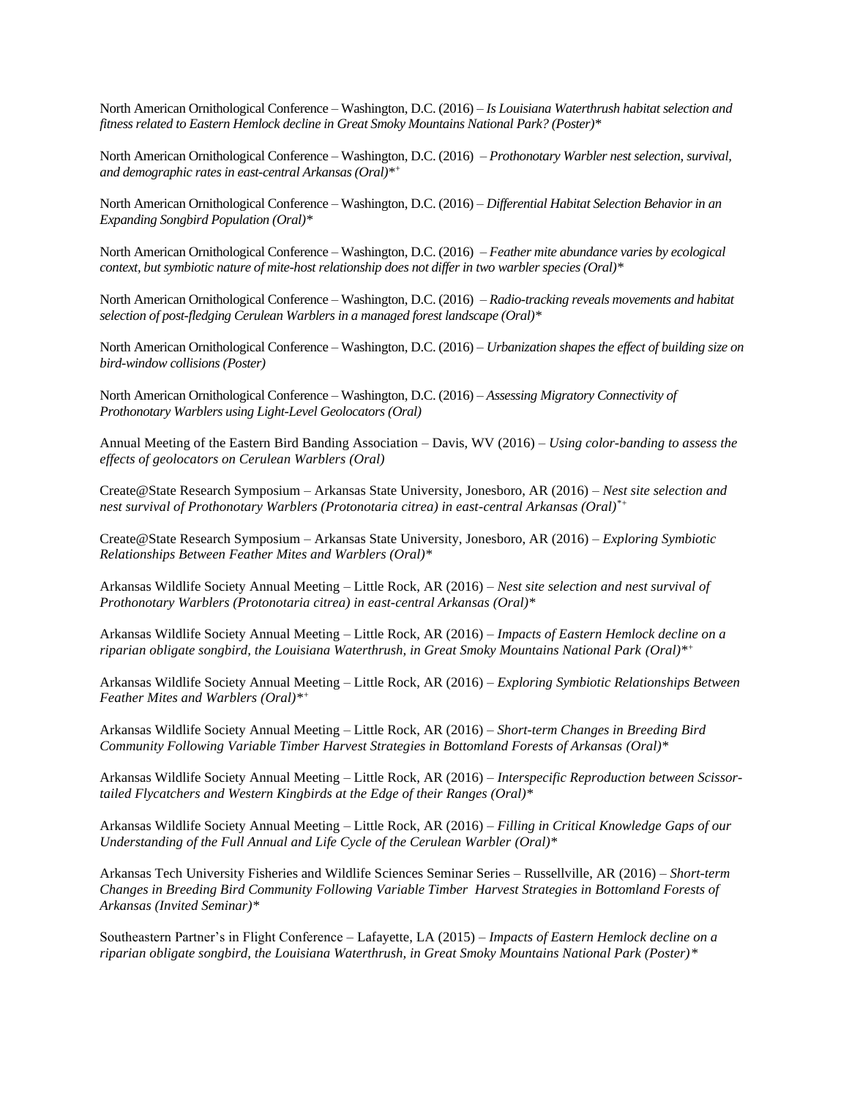North American Ornithological Conference – Washington, D.C. (2016) – *Is Louisiana Waterthrush habitat selection and fitness related to Eastern Hemlock decline in Great Smoky Mountains National Park? (Poster)\**

North American Ornithological Conference – Washington, D.C. (2016) – *Prothonotary Warbler nest selection, survival, and demographic rates in east-central Arkansas (Oral)\*<sup>+</sup>*

North American Ornithological Conference – Washington, D.C. (2016) – *Differential Habitat Selection Behavior in an Expanding Songbird Population (Oral)\**

North American Ornithological Conference – Washington, D.C. (2016) – *Feather mite abundance varies by ecological context, but symbiotic nature of mite-host relationship does not differ in two warbler species (Oral)\**

North American Ornithological Conference – Washington, D.C. (2016) – *Radio-tracking reveals movements and habitat selection of post-fledging Cerulean Warblers in a managed forest landscape (Oral)\**

North American Ornithological Conference – Washington, D.C. (2016) – *Urbanization shapes the effect of building size on bird-window collisions (Poster)*

North American Ornithological Conference – Washington, D.C. (2016) – *Assessing Migratory Connectivity of Prothonotary Warblers using Light-Level Geolocators (Oral)*

Annual Meeting of the Eastern Bird Banding Association – Davis, WV (2016) – *Using color-banding to assess the effects of geolocators on Cerulean Warblers (Oral)*

Create@State Research Symposium – Arkansas State University, Jonesboro, AR (2016) – *Nest site selection and nest survival of Prothonotary Warblers (Protonotaria citrea) in east-central Arkansas (Oral)\*+*

Create@State Research Symposium – Arkansas State University, Jonesboro, AR (2016) – *Exploring Symbiotic Relationships Between Feather Mites and Warblers (Oral)\**

Arkansas Wildlife Society Annual Meeting – Little Rock, AR (2016) – *Nest site selection and nest survival of Prothonotary Warblers (Protonotaria citrea) in east-central Arkansas (Oral)\**

Arkansas Wildlife Society Annual Meeting – Little Rock, AR (2016) – *Impacts of Eastern Hemlock decline on a riparian obligate songbird, the Louisiana Waterthrush, in Great Smoky Mountains National Park (Oral)\*<sup>+</sup>*

Arkansas Wildlife Society Annual Meeting – Little Rock, AR (2016) – *Exploring Symbiotic Relationships Between Feather Mites and Warblers (Oral)\*<sup>+</sup>*

Arkansas Wildlife Society Annual Meeting – Little Rock, AR (2016) – *Short-term Changes in Breeding Bird Community Following Variable Timber Harvest Strategies in Bottomland Forests of Arkansas (Oral)\**

Arkansas Wildlife Society Annual Meeting – Little Rock, AR (2016) – *Interspecific Reproduction between Scissortailed Flycatchers and Western Kingbirds at the Edge of their Ranges (Oral)\**

Arkansas Wildlife Society Annual Meeting – Little Rock, AR (2016) – *Filling in Critical Knowledge Gaps of our Understanding of the Full Annual and Life Cycle of the Cerulean Warbler (Oral)\**

Arkansas Tech University Fisheries and Wildlife Sciences Seminar Series – Russellville, AR (2016) – *Short-term Changes in Breeding Bird Community Following Variable Timber Harvest Strategies in Bottomland Forests of Arkansas (Invited Seminar)\**

Southeastern Partner's in Flight Conference – Lafayette, LA (2015) – *Impacts of Eastern Hemlock decline on a riparian obligate songbird, the Louisiana Waterthrush, in Great Smoky Mountains National Park (Poster)\**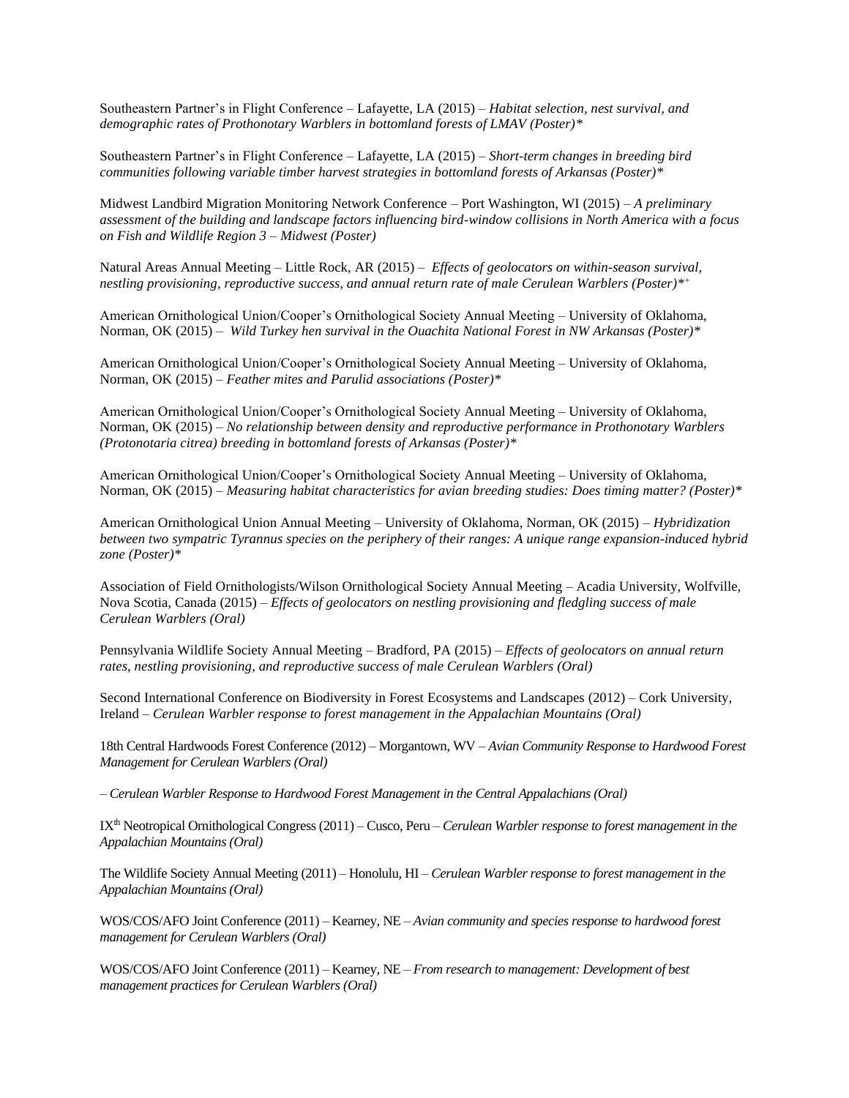Southeastern Partner's in Flight Conference – Lafayette, LA (2015) – *Habitat selection, nest survival, and demographic rates of Prothonotary Warblers in bottomland forests of LMAV (Poster)\**

Southeastern Partner's in Flight Conference – Lafayette, LA (2015) – *Short-term changes in breeding bird communities following variable timber harvest strategies in bottomland forests of Arkansas (Poster)\**

Midwest Landbird Migration Monitoring Network Conference – Port Washington, WI (2015) – *A preliminary assessment of the building and landscape factors influencing bird-window collisions in North America with a focus on Fish and Wildlife Region 3 – Midwest (Poster)*

Natural Areas Annual Meeting – Little Rock, AR (2015) – *Effects of geolocators on within-season survival, nestling provisioning, reproductive success, and annual return rate of male Cerulean Warblers (Poster)\* +*

American Ornithological Union/Cooper's Ornithological Society Annual Meeting – University of Oklahoma, Norman, OK (2015) *– Wild Turkey hen survival in the Ouachita National Forest in NW Arkansas (Poster)\**

American Ornithological Union/Cooper's Ornithological Society Annual Meeting – University of Oklahoma, Norman, OK (2015) *– Feather mites and Parulid associations (Poster)\**

American Ornithological Union/Cooper's Ornithological Society Annual Meeting – University of Oklahoma, Norman, OK (2015) – *No relationship between density and reproductive performance in Prothonotary Warblers (Protonotaria citrea) breeding in bottomland forests of Arkansas (Poster)\**

American Ornithological Union/Cooper's Ornithological Society Annual Meeting – University of Oklahoma, Norman, OK (2015) – *Measuring habitat characteristics for avian breeding studies: Does timing matter? (Poster)\**

American Ornithological Union Annual Meeting – University of Oklahoma, Norman, OK (2015) – *Hybridization between two sympatric Tyrannus species on the periphery of their ranges: A unique range expansion-induced hybrid zone (Poster)\**

Association of Field Ornithologists/Wilson Ornithological Society Annual Meeting – Acadia University, Wolfville, Nova Scotia, Canada (2015) – *Effects of geolocators on nestling provisioning and fledgling success of male Cerulean Warblers (Oral)*

Pennsylvania Wildlife Society Annual Meeting – Bradford, PA (2015) – *Effects of geolocators on annual return rates, nestling provisioning, and reproductive success of male Cerulean Warblers (Oral)*

Second International Conference on Biodiversity in Forest Ecosystems and Landscapes (2012) – Cork University, Ireland – *Cerulean Warbler response to forest management in the Appalachian Mountains (Oral)* 

18th Central Hardwoods Forest Conference (2012) – Morgantown, WV – *Avian Community Response to Hardwood Forest Management for Cerulean Warblers (Oral)* 

– *Cerulean Warbler Response to Hardwood Forest Management in the Central Appalachians (Oral)*

IXth Neotropical Ornithological Congress (2011) – Cusco, Peru – *Cerulean Warbler response to forest management in the Appalachian Mountains (Oral)* 

The Wildlife Society Annual Meeting (2011) – Honolulu, HI – *Cerulean Warbler response to forest management in the Appalachian Mountains (Oral)* 

WOS/COS/AFO Joint Conference (2011) – Kearney, NE – *Avian community and species response to hardwood forest management for Cerulean Warblers (Oral)*

WOS/COS/AFO Joint Conference (2011) – Kearney, NE – *From research to management: Development of best management practices for Cerulean Warblers (Oral)*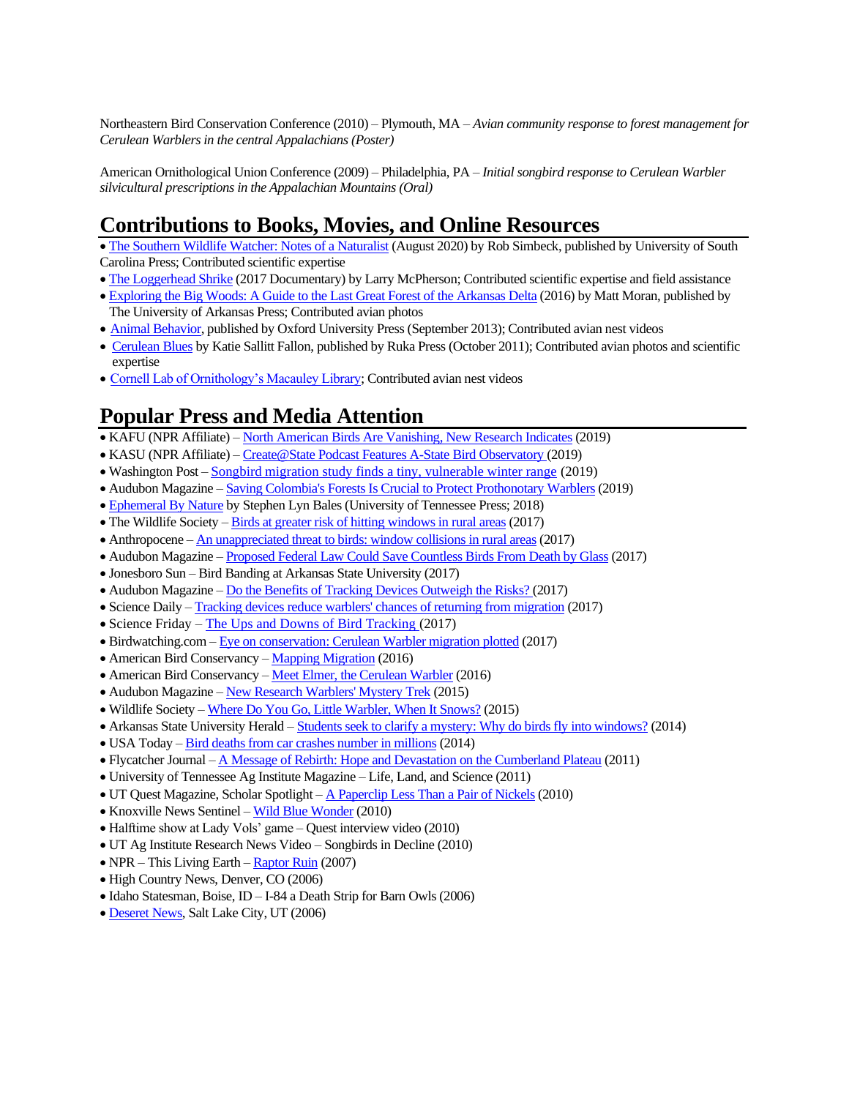Northeastern Bird Conservation Conference (2010) – Plymouth, MA – *Avian community response to forest management for Cerulean Warblers in the central Appalachians (Poster)*

American Ornithological Union Conference (2009) – Philadelphia, PA – *Initial songbird response to Cerulean Warbler silvicultural prescriptions in the Appalachian Mountains (Oral)*

# **Contributions to Books, Movies, and Online Resources**

• [The Southern Wildlife Watcher: Notes of a Naturalist](http://www.sc.edu/uscpress/books/2020/6092.html) (August 2020) by Rob Simbeck, published by University of South Carolina Press; Contributed scientific expertise

- [The Loggerhead Shrike](https://vimeo.com/205715193) (2017 Documentary) by Larry McPherson; Contributed scientific expertise and field assistance
- [Exploring the Big Woods: A Guide to the Last Great Forest of the Arkansas Delta](http://www.uapress.com/dd-product/exploring-the-big-woods/) (2016) by Matt Moran, published by The University of Arkansas Press; Contributed avian photos
- [Animal Behavior,](https://global.oup.com/academic/product/animal-behavior-9780199737598?cc=us&lang=en&) published by Oxford University Press (September 2013); Contributed avian nest videos
- [Cerulean Blues](http://www.rukapress.com/books/cerulean-blues/) by Katie Sallitt Fallon, published by Ruka Press (October 2011); Contributed avian photos and scientific expertise
- [Cornell Lab of Ornithology's Macauley Library;](http://macaulaylibrary.org/) Contributed avian nest videos

# **Popular Press and Media Attention**

- KAFU (NPR Affiliate) [North American Birds Are Vanishing, New Research Indicates](https://www.kuaf.com/post/north-american-birds-are-vanishing-new-research-indicates#stream/0) (2019)
- KASU (NPR Affiliate) [Create@State Podcast Features A-State Bird Observatory \(](https://www.kasu.org/post/ep-52-createstate-podcast-features-state-bird-observatory)2019)
- Washington Post [Songbird migration study finds a tiny, vulnerable winter range](https://www.washingtonpost.com/science/songbird-migration-study-finds-a-tiny-vulnerable-winter-range/2019/06/20/1bffa6fe-92cb-11e9-b570-6416efdc0803_story.html?utm_term=.4efd78877c56) (2019)
- Audubon Magazine [Saving Colombia's Forests Is Crucial to Protect Prothonotary Warblers](https://www.audubon.org/news/saving-colombias-forests-crucial-protect-prothonotary-warblers) (2019)
- [Ephemeral](http://utpress.org/title/ephemeral-by-nature/) By Nature by Stephen Lyn Bales (University of Tennessee Press; 2018)
- The Wildlife Society [Birds at greater risk of hitting windows in rural areas](http://wildlife.org/birds-at-greater-risk-of-hitting-windows-in-rural-areas/) (2017)
- Anthropocene [An unappreciated threat to birds: window collisions in rural areas](http://www.anthropocenemagazine.org/2017/08/bird-window-collisions-rural-areas/) (2017)
- Audubon Magazine [Proposed Federal Law Could Save Countless Birds From Death by Glass](http://www.audubon.org/news/proposed-federal-law-could-save-countless-birds-death-glass) (2017)
- Jonesboro Sun Bird Banding at Arkansas State University (2017)
- Audubon Magazine [Do the Benefits of Tracking Devices](http://www.audubon.org/news/do-benefits-tracking-migrant-warblers-outweigh-risks) Outweigh the Risks? (2017)
- Science Daily [Tracking devices reduce warblers' chances of returning from migration](https://www.sciencedaily.com/releases/2017/05/170503080239.htm) (2017)
- Science Friday [The Ups and Downs of Bird Tracking \(](https://sciencefriday.com/segments/the-ups-and-downs-of-bird-tracking-devices/)2017)
- Birdwatching.com [Eye on conservation: Cerulean Warbler migration plotted](https://www.birdwatchingdaily.com/blog/2017/05/17/eye-on-conservation-cerulean-warbler-migration-plotted/) (2017)
- American Bird Conservancy [Mapping Migration](https://www.youtube.com/watch?v=Wcx5og8Qr8k) (2016)
- American Bird Conservancy [Meet Elmer, the Cerulean Warbler](https://abcbirds.org/meet-elmer-cerulean-warbler/) (2016)
- Audubon Magazine [New Research Warblers' Mystery Trek](https://www.audubon.org/news/new-research-details-warblers-mystery-treks) (2015)
- Wildlife Society [Where Do You Go, Little Warbler, When It Snows?](http://wildlife.org/where-do-you-go-little-warbler-when-it-snows/) (2015)
- Arkansas State University Herald [Students seek to clarify a mystery: Why do birds fly into windows?](http://www.asuherald.com/news/view.php/846746/Students-seek-to-clarify-mystery-) (2014)
- USA Today [Bird deaths from car crashes number in millions](http://www.usatoday.com/story/tech/2014/05/29/bird-deaths-car-crashes/9623931/) (2014)
- Flycatcher Journal [A Message of Rebirth: Hope and Devastation on the Cumberland Plateau](http://www.flycatcherjournal.org/haworth.php) (2011)
- University of Tennessee Ag Institute Magazine Life, Land, and Science (2011)
- UT Quest Magazine, Scholar Spotlight [A Paperclip Less Than a Pair of Nickels](http://quest.utk.edu/2010/a-paperclip-less-than-a-pair-of-nickels/) (2010)
- Knoxville News Sentinel [Wild Blue Wonder](http://www.knoxnews.com/news/2010/jun/06/060610warbler/) (2010)
- Halftime show at Lady Vols' game Quest interview video (2010)
- UT Ag Institute Research News Video Songbirds in Decline (2010)
- NPR This Living Earth [Raptor Ruin](http://www.loe.org/shows/segments.html?programID=07-P13-00032&segmentID=6) (2007)
- High Country News, Denver, CO (2006)
- Idaho Statesman, Boise, ID I-84 a Death Strip for Barn Owls(2006)
- [Deseret News,](http://www.deseretnews.com/article/640197392/I-84-a-death-strip-for-barn-owls.html) Salt Lake City, UT (2006)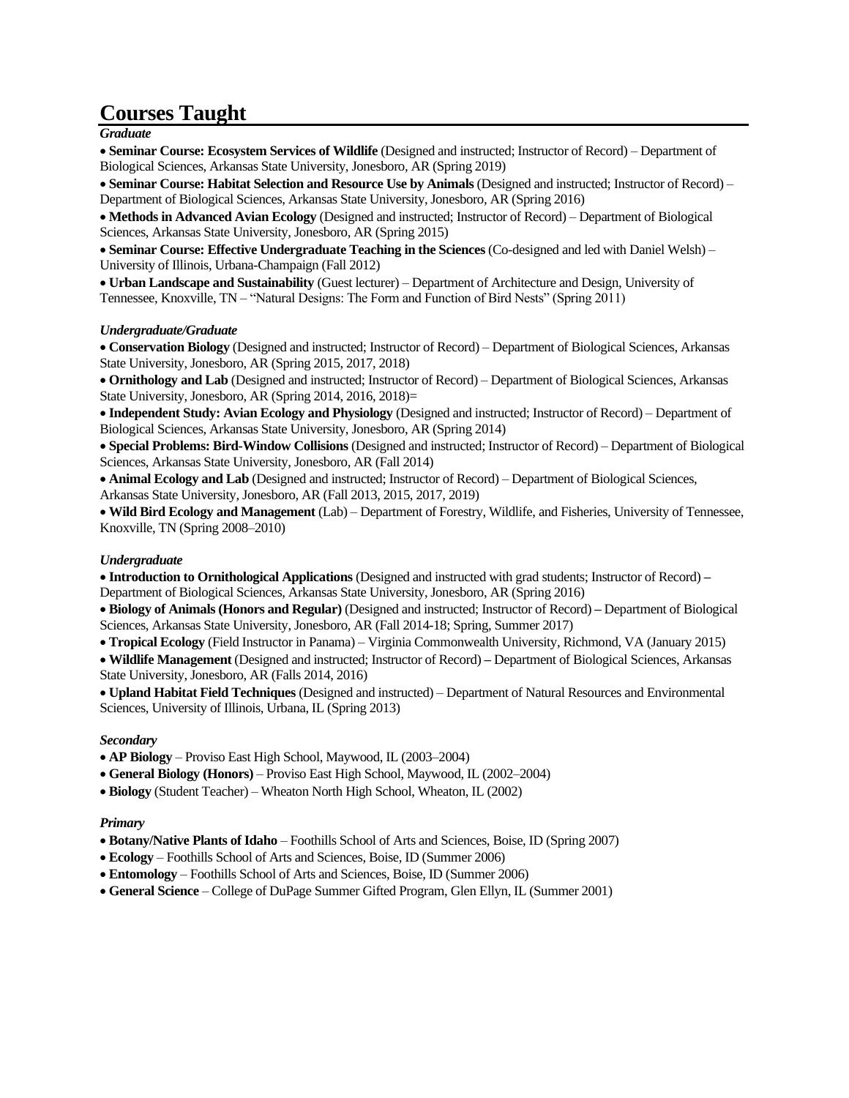# **Courses Taught**

*Graduate*

• **Seminar Course: Ecosystem Services of Wildlife** (Designed and instructed; Instructor of Record) – Department of Biological Sciences, Arkansas State University, Jonesboro, AR (Spring 2019)

• **Seminar Course: Habitat Selection and Resource Use by Animals** (Designed and instructed; Instructor of Record) – Department of Biological Sciences, Arkansas State University, Jonesboro, AR (Spring 2016)

• **Methods in Advanced Avian Ecology** (Designed and instructed; Instructor of Record) – Department of Biological Sciences, Arkansas State University, Jonesboro, AR (Spring 2015)

• **Seminar Course: Effective Undergraduate Teaching in the Sciences** (Co-designed and led with Daniel Welsh) – University of Illinois, Urbana-Champaign (Fall 2012)

• **Urban Landscape and Sustainability** (Guest lecturer) – Department of Architecture and Design, University of Tennessee, Knoxville, TN – "Natural Designs: The Form and Function of Bird Nests" (Spring 2011)

### *Undergraduate/Graduate*

• **Conservation Biology** (Designed and instructed; Instructor of Record) – Department of Biological Sciences, Arkansas State University, Jonesboro, AR (Spring 2015, 2017, 2018)

• **Ornithology and Lab** (Designed and instructed; Instructor of Record) – Department of Biological Sciences, Arkansas State University, Jonesboro, AR (Spring 2014, 2016, 2018)=

• **Independent Study: Avian Ecology and Physiology** (Designed and instructed; Instructor of Record) – Department of Biological Sciences, Arkansas State University, Jonesboro, AR (Spring 2014)

• **Special Problems: Bird-Window Collisions** (Designed and instructed; Instructor of Record) – Department of Biological Sciences, Arkansas State University, Jonesboro, AR (Fall 2014)

• **Animal Ecology and Lab** (Designed and instructed; Instructor of Record) – Department of Biological Sciences, Arkansas State University, Jonesboro, AR (Fall 2013, 2015, 2017, 2019)

• **Wild Bird Ecology and Management** (Lab) – Department of Forestry, Wildlife, and Fisheries, University of Tennessee, Knoxville, TN (Spring 2008–2010)

### *Undergraduate*

• **Introduction to Ornithological Applications** (Designed and instructed with grad students; Instructor of Record) **–** Department of Biological Sciences, Arkansas State University, Jonesboro, AR (Spring 2016)

• **Biology of Animals (Honors and Regular)** (Designed and instructed; Instructor of Record) **–** Department of Biological Sciences, Arkansas State University, Jonesboro, AR (Fall 2014-18; Spring, Summer 2017)

• **Tropical Ecology** (Field Instructor in Panama) – Virginia Commonwealth University, Richmond, VA (January 2015)

• **Wildlife Management** (Designed and instructed; Instructor of Record) **–** Department of Biological Sciences, Arkansas State University, Jonesboro, AR (Falls 2014, 2016)

• **Upland Habitat Field Techniques** (Designed and instructed) – Department of Natural Resources and Environmental Sciences, University of Illinois, Urbana, IL (Spring 2013)

### *Secondary*

- **AP Biology** Proviso East High School, Maywood, IL (2003–2004)
- **General Biology (Honors)** Proviso East High School, Maywood, IL (2002–2004)
- **Biology** (Student Teacher) Wheaton North High School, Wheaton, IL (2002)

### *Primary*

- **Botany/Native Plants of Idaho** Foothills School of Arts and Sciences, Boise, ID (Spring 2007)
- **Ecology** Foothills School of Arts and Sciences, Boise, ID (Summer 2006)
- **Entomology** Foothills School of Arts and Sciences, Boise, ID (Summer 2006)
- **General Science** College of DuPage Summer Gifted Program, Glen Ellyn, IL (Summer 2001)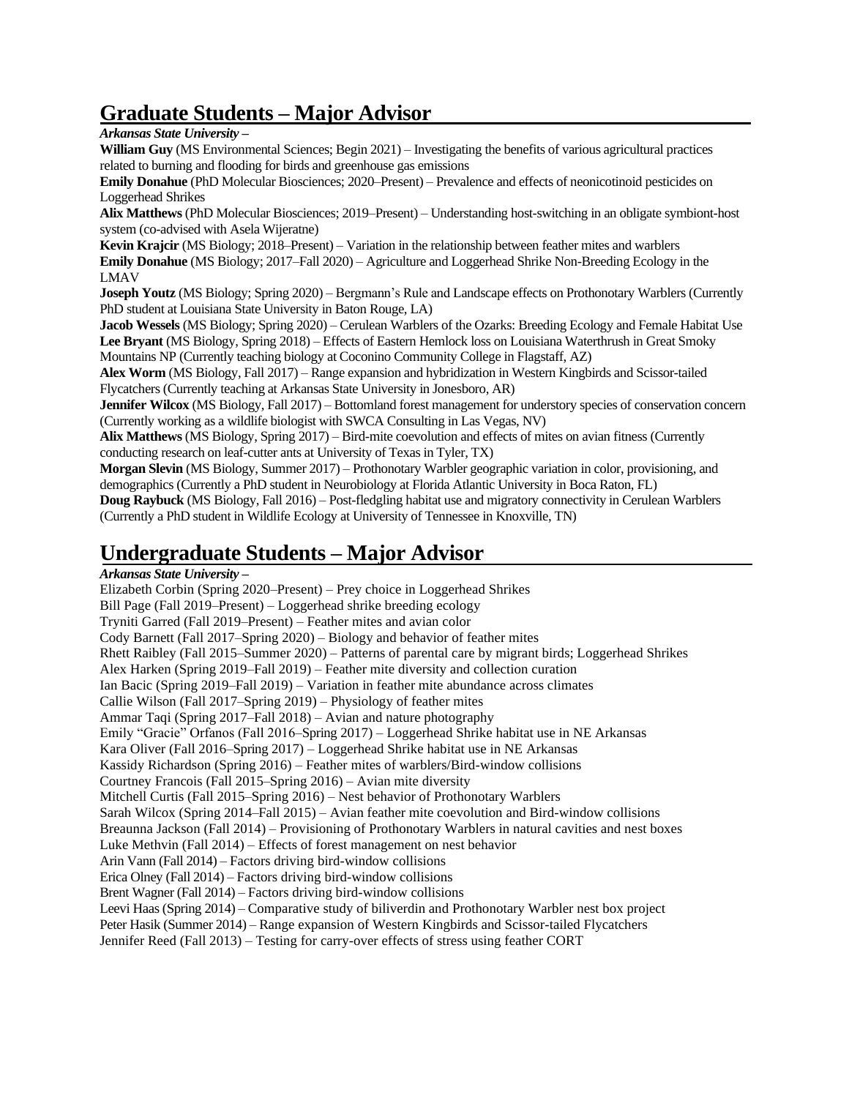# **Graduate Students – Major Advisor**

*Arkansas State University –*

**William Guy** (MS Environmental Sciences; Begin 2021) – Investigating the benefits of various agricultural practices related to burning and flooding for birds and greenhouse gas emissions

**Emily Donahue** (PhD Molecular Biosciences; 2020–Present) – Prevalence and effects of neonicotinoid pesticides on Loggerhead Shrikes

**Alix Matthews** (PhD Molecular Biosciences; 2019–Present) – Understanding host-switching in an obligate symbiont-host system (co-advised with Asela Wijeratne)

**Kevin Krajcir** (MS Biology; 2018–Present) – Variation in the relationship between feather mites and warblers **Emily Donahue** (MS Biology; 2017–Fall 2020) – Agriculture and Loggerhead Shrike Non-Breeding Ecology in the LMAV

**Joseph Youtz** (MS Biology; Spring 2020) – Bergmann's Rule and Landscape effects on Prothonotary Warblers(Currently PhD student at Louisiana State University in Baton Rouge, LA)

**Jacob Wessels** (MS Biology; Spring 2020) – Cerulean Warblers of the Ozarks: Breeding Ecology and Female Habitat Use **Lee Bryant** (MS Biology, Spring 2018) – Effects of Eastern Hemlock loss on Louisiana Waterthrush in Great Smoky Mountains NP (Currently teaching biology at Coconino Community College in Flagstaff, AZ)

**Alex Worm** (MS Biology, Fall 2017) – Range expansion and hybridization in Western Kingbirds and Scissor-tailed Flycatchers (Currently teaching at Arkansas State University in Jonesboro, AR)

**Jennifer Wilcox** (MS Biology, Fall 2017) – Bottomland forest management for understory species of conservation concern (Currently working as a wildlife biologist with SWCA Consulting in Las Vegas, NV)

**Alix Matthews** (MS Biology, Spring 2017) – Bird-mite coevolution and effects of mites on avian fitness (Currently conducting research on leaf-cutter ants at University of Texas in Tyler, TX)

**Morgan Slevin** (MS Biology, Summer 2017) – Prothonotary Warbler geographic variation in color, provisioning, and demographics (Currently a PhD student in Neurobiology at Florida Atlantic University in Boca Raton, FL)

**Doug Raybuck** (MS Biology, Fall 2016) – Post-fledgling habitat use and migratory connectivity in Cerulean Warblers (Currently a PhD student in Wildlife Ecology at University of Tennessee in Knoxville, TN)

# **Undergraduate Students – Major Advisor**

### *Arkansas State University –*

Elizabeth Corbin (Spring 2020–Present) – Prey choice in Loggerhead Shrikes Bill Page (Fall 2019–Present) – Loggerhead shrike breeding ecology Tryniti Garred (Fall 2019–Present) – Feather mites and avian color Cody Barnett (Fall 2017–Spring 2020) – Biology and behavior of feather mites Rhett Raibley (Fall 2015–Summer 2020) – Patterns of parental care by migrant birds; Loggerhead Shrikes Alex Harken (Spring 2019–Fall 2019) – Feather mite diversity and collection curation Ian Bacic (Spring 2019–Fall 2019) – Variation in feather mite abundance across climates Callie Wilson (Fall 2017–Spring 2019) – Physiology of feather mites Ammar Taqi (Spring 2017–Fall 2018) – Avian and nature photography Emily "Gracie" Orfanos (Fall 2016–Spring 2017) – Loggerhead Shrike habitat use in NE Arkansas Kara Oliver (Fall 2016–Spring 2017) – Loggerhead Shrike habitat use in NE Arkansas Kassidy Richardson (Spring 2016) – Feather mites of warblers/Bird-window collisions Courtney Francois (Fall 2015–Spring 2016) – Avian mite diversity Mitchell Curtis (Fall 2015–Spring 2016) – Nest behavior of Prothonotary Warblers Sarah Wilcox (Spring 2014–Fall 2015) – Avian feather mite coevolution and Bird-window collisions Breaunna Jackson (Fall 2014) – Provisioning of Prothonotary Warblers in natural cavities and nest boxes Luke Methvin (Fall 2014) – Effects of forest management on nest behavior Arin Vann (Fall 2014) – Factors driving bird-window collisions Erica Olney (Fall 2014) – Factors driving bird-window collisions Brent Wagner (Fall 2014) – Factors driving bird-window collisions Leevi Haas (Spring 2014) – Comparative study of biliverdin and Prothonotary Warbler nest box project Peter Hasik (Summer 2014) – Range expansion of Western Kingbirds and Scissor-tailed Flycatchers Jennifer Reed (Fall 2013) – Testing for carry-over effects of stress using feather CORT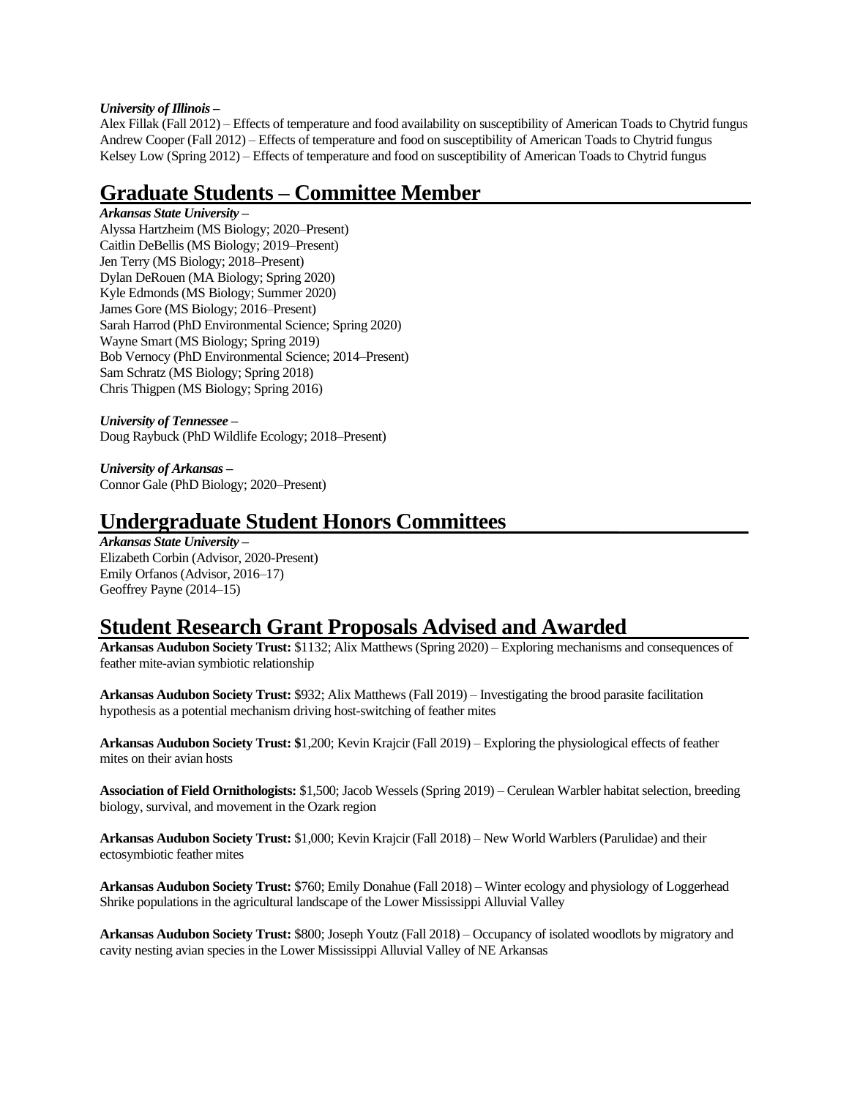### *University of Illinois –*

Alex Fillak (Fall 2012) – Effects of temperature and food availability on susceptibility of American Toads to Chytrid fungus Andrew Cooper (Fall 2012) – Effects of temperature and food on susceptibility of American Toads to Chytrid fungus Kelsey Low (Spring 2012) – Effects of temperature and food on susceptibility of American Toads to Chytrid fungus

# **Graduate Students – Committee Member**

*Arkansas State University –* Alyssa Hartzheim (MS Biology; 2020–Present) Caitlin DeBellis (MS Biology; 2019–Present) Jen Terry (MS Biology; 2018–Present) Dylan DeRouen (MA Biology; Spring 2020) Kyle Edmonds (MS Biology; Summer 2020) James Gore (MS Biology; 2016–Present) Sarah Harrod (PhD Environmental Science; Spring 2020) Wayne Smart (MS Biology; Spring 2019) Bob Vernocy (PhD Environmental Science; 2014–Present) Sam Schratz (MS Biology; Spring 2018) Chris Thigpen (MS Biology; Spring 2016)

*University of Tennessee –* Doug Raybuck (PhD Wildlife Ecology; 2018–Present)

*University of Arkansas –* Connor Gale (PhD Biology; 2020–Present)

# **Undergraduate Student Honors Committees**

*Arkansas State University –* Elizabeth Corbin (Advisor, 2020-Present) Emily Orfanos (Advisor, 2016–17) Geoffrey Payne (2014–15)

# **Student Research Grant Proposals Advised and Awarded**

**Arkansas Audubon Society Trust:** \$1132; Alix Matthews (Spring 2020) – Exploring mechanisms and consequences of feather mite-avian symbiotic relationship

**Arkansas Audubon Society Trust:** \$932; Alix Matthews (Fall 2019) – Investigating the brood parasite facilitation hypothesis as a potential mechanism driving host-switching of feather mites

**Arkansas Audubon Society Trust: \$**1,200; Kevin Krajcir (Fall 2019) – Exploring the physiological effects of feather mites on their avian hosts

**Association of Field Ornithologists:** \$1,500; Jacob Wessels (Spring 2019) – Cerulean Warbler habitat selection, breeding biology, survival, and movement in the Ozark region

**Arkansas Audubon Society Trust:** \$1,000; Kevin Krajcir (Fall 2018) – New World Warblers (Parulidae) and their ectosymbiotic feather mites

**Arkansas Audubon Society Trust:** \$760; Emily Donahue (Fall 2018) – Winter ecology and physiology of Loggerhead Shrike populations in the agricultural landscape of the Lower Mississippi Alluvial Valley

**Arkansas Audubon Society Trust:** \$800; Joseph Youtz (Fall 2018) – Occupancy of isolated woodlots by migratory and cavity nesting avian species in the Lower Mississippi Alluvial Valley of NE Arkansas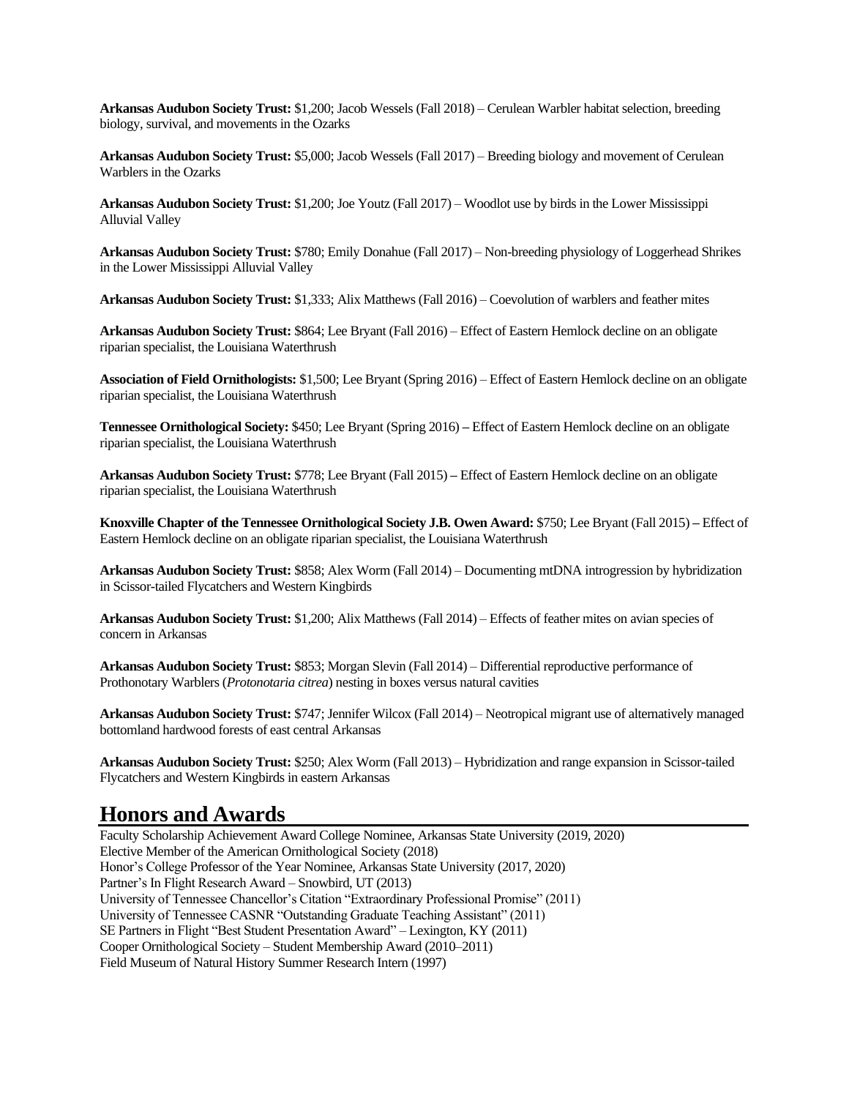**Arkansas Audubon Society Trust:** \$1,200; Jacob Wessels (Fall 2018) – Cerulean Warbler habitat selection, breeding biology, survival, and movements in the Ozarks

**Arkansas Audubon Society Trust:** \$5,000; Jacob Wessels (Fall 2017) – Breeding biology and movement of Cerulean Warblers in the Ozarks

**Arkansas Audubon Society Trust:** \$1,200; Joe Youtz (Fall 2017) – Woodlot use by birds in the Lower Mississippi Alluvial Valley

**Arkansas Audubon Society Trust:** \$780; Emily Donahue (Fall 2017) – Non-breeding physiology of Loggerhead Shrikes in the Lower Mississippi Alluvial Valley

**Arkansas Audubon Society Trust:** \$1,333; Alix Matthews (Fall 2016) – Coevolution of warblers and feather mites

**Arkansas Audubon Society Trust:** \$864; Lee Bryant (Fall 2016) – Effect of Eastern Hemlock decline on an obligate riparian specialist, the Louisiana Waterthrush

**Association of Field Ornithologists:** \$1,500; Lee Bryant (Spring 2016) – Effect of Eastern Hemlock decline on an obligate riparian specialist, the Louisiana Waterthrush

**Tennessee Ornithological Society:** \$450; Lee Bryant (Spring 2016) **–** Effect of Eastern Hemlock decline on an obligate riparian specialist, the Louisiana Waterthrush

**Arkansas Audubon Society Trust:** \$778; Lee Bryant (Fall 2015) **–** Effect of Eastern Hemlock decline on an obligate riparian specialist, the Louisiana Waterthrush

**Knoxville Chapter of the Tennessee Ornithological Society J.B. Owen Award:** \$750; Lee Bryant (Fall 2015) **–** Effect of Eastern Hemlock decline on an obligate riparian specialist, the Louisiana Waterthrush

**Arkansas Audubon Society Trust:** \$858; Alex Worm (Fall 2014) – Documenting mtDNA introgression by hybridization in Scissor-tailed Flycatchers and Western Kingbirds

**Arkansas Audubon Society Trust:** \$1,200; Alix Matthews (Fall 2014) – Effects of feather mites on avian species of concern in Arkansas

**Arkansas Audubon Society Trust:** \$853; Morgan Slevin (Fall 2014) – Differential reproductive performance of Prothonotary Warblers (*Protonotaria citrea*) nesting in boxes versus natural cavities

**Arkansas Audubon Society Trust:** \$747; Jennifer Wilcox (Fall 2014) – Neotropical migrant use of alternatively managed bottomland hardwood forests of east central Arkansas

**Arkansas Audubon Society Trust:** \$250; Alex Worm (Fall 2013) – Hybridization and range expansion in Scissor-tailed Flycatchers and Western Kingbirds in eastern Arkansas

# **Honors and Awards**

Faculty Scholarship Achievement Award College Nominee, Arkansas State University (2019, 2020) Elective Member of the American Ornithological Society (2018) Honor's College Professor of the Year Nominee, Arkansas State University (2017, 2020) Partner's In Flight Research Award – Snowbird, UT (2013) University of Tennessee Chancellor's Citation "Extraordinary Professional Promise" (2011) University of Tennessee CASNR "Outstanding Graduate Teaching Assistant" (2011) SE Partners in Flight "Best Student Presentation Award" – Lexington, KY (2011) Cooper Ornithological Society – Student Membership Award (2010–2011) Field Museum of Natural History Summer Research Intern (1997)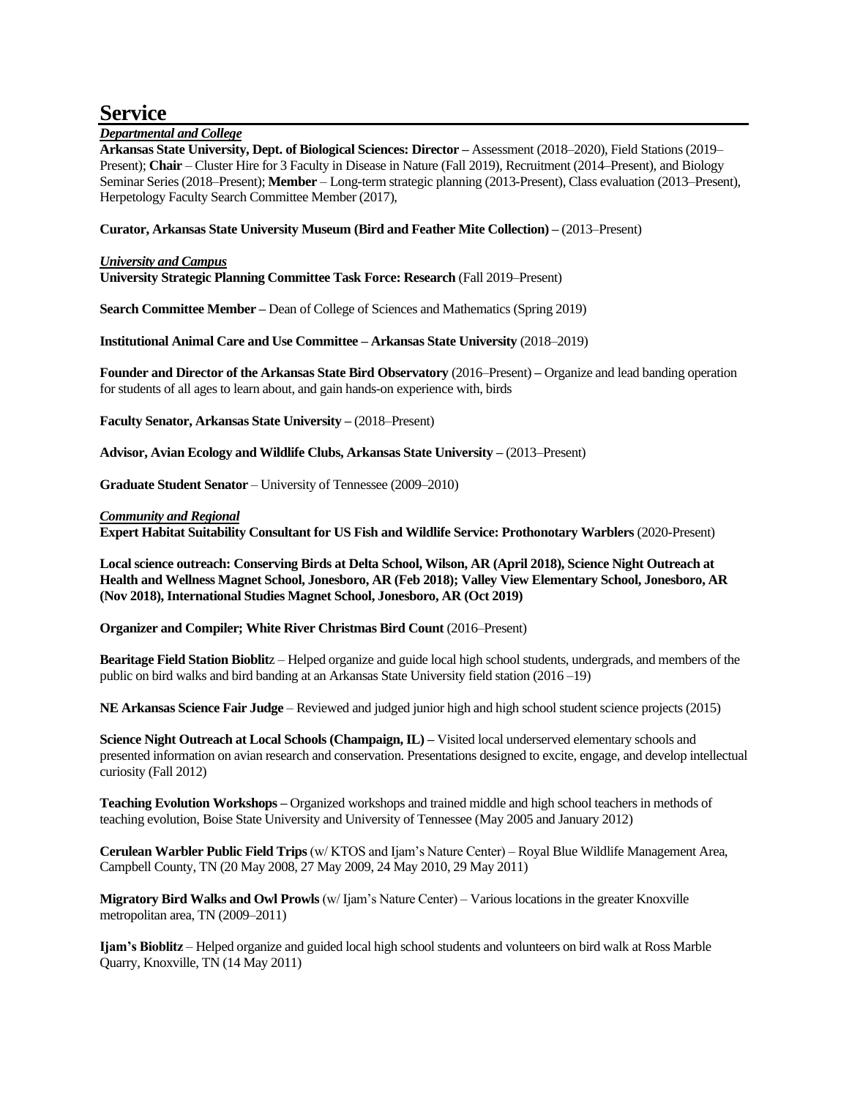### **Service**

### *Departmental and College*

**Arkansas State University, Dept. of Biological Sciences: Director –** Assessment (2018–2020), Field Stations (2019– Present); **Chair** – Cluster Hire for 3 Faculty in Disease in Nature (Fall 2019), Recruitment (2014–Present), and Biology Seminar Series (2018–Present); **Member** – Long-term strategic planning (2013-Present), Class evaluation (2013–Present), Herpetology Faculty Search Committee Member (2017),

### **Curator, Arkansas State University Museum (Bird and Feather Mite Collection) –** (2013–Present)

### *University and Campus*

**University Strategic Planning Committee Task Force: Research** (Fall 2019–Present)

**Search Committee Member –** Dean of College of Sciences and Mathematics (Spring 2019)

**Institutional Animal Care and Use Committee – Arkansas State University** (2018–2019)

**Founder and Director of the Arkansas State Bird Observatory** (2016–Present) **–** Organize and lead banding operation for students of all ages to learn about, and gain hands-on experience with, birds

**Faculty Senator, Arkansas State University –** (2018–Present)

**Advisor, Avian Ecology and Wildlife Clubs, Arkansas State University –** (2013–Present)

**Graduate Student Senator** – University of Tennessee (2009–2010)

### *Community and Regional*

**Expert Habitat Suitability Consultant for US Fish and Wildlife Service: Prothonotary Warblers** (2020-Present)

**Local science outreach: Conserving Birds at Delta School, Wilson, AR (April 2018), Science Night Outreach at Health and Wellness Magnet School, Jonesboro, AR (Feb 2018); Valley View Elementary School, Jonesboro, AR (Nov 2018), International Studies Magnet School, Jonesboro, AR (Oct 2019)**

**Organizer and Compiler; White River Christmas Bird Count** (2016–Present)

**Bearitage Field Station Bioblit**z – Helped organize and guide local high school students, undergrads, and members of the public on bird walks and bird banding at an Arkansas State University field station (2016 –19)

**NE Arkansas Science Fair Judge** – Reviewed and judged junior high and high school student science projects (2015)

**Science Night Outreach at Local Schools (Champaign, IL) –** Visited local underserved elementary schools and presented information on avian research and conservation. Presentations designed to excite, engage, and develop intellectual curiosity (Fall 2012)

**Teaching Evolution Workshops –** Organized workshops and trained middle and high school teachers in methods of teaching evolution, Boise State University and University of Tennessee (May 2005 and January 2012)

**Cerulean Warbler Public Field Trips** (w/ KTOS and Ijam's Nature Center) – Royal Blue Wildlife Management Area, Campbell County, TN (20 May 2008, 27 May 2009, 24 May 2010, 29 May 2011)

**Migratory Bird Walks and Owl Prowls** (w/ Ijam's Nature Center) – Various locations in the greater Knoxville metropolitan area, TN (2009–2011)

**Ijam's Bioblitz** – Helped organize and guided local high school students and volunteers on bird walk at Ross Marble Quarry, Knoxville, TN (14 May 2011)